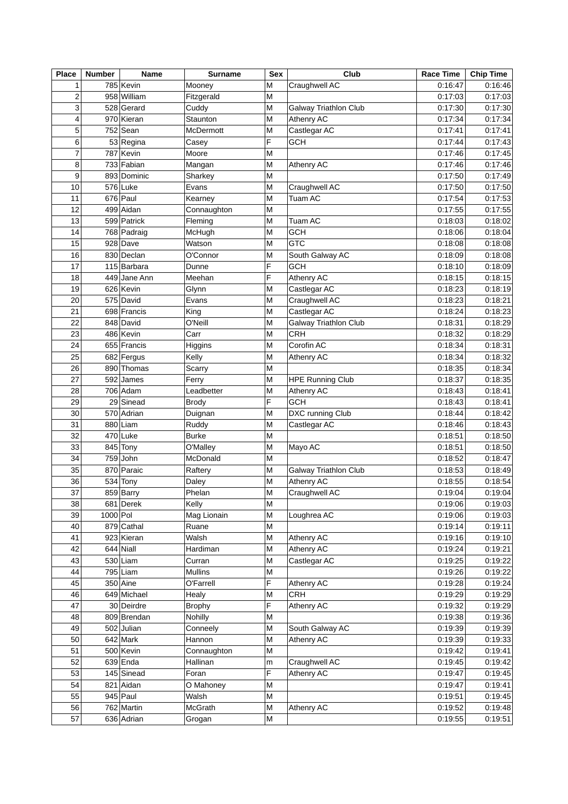| <b>Place</b>   | <b>Number</b> | <b>Name</b>  | Surname          | Sex    | Club                         | <b>Race Time</b> | <b>Chip Time</b> |
|----------------|---------------|--------------|------------------|--------|------------------------------|------------------|------------------|
| 1              |               | 785 Kevin    | Mooney           | M      | Craughwell AC                | 0:16:47          | 0:16:46          |
| 2              |               | 958 William  | Fitzgerald       | M      |                              | 0:17:03          | 0:17:03          |
| 3              |               | 528 Gerard   | Cuddy            | M      | <b>Galway Triathlon Club</b> | 0:17:30          | 0:17:30          |
| 4              |               | 970 Kieran   | Staunton         | M      | Athenry AC                   | 0:17:34          | 0:17:34          |
| 5              |               | $752$ Sean   | McDermott        | M      | Castlegar AC                 | 0:17:41          | 0:17:41          |
| 6              |               | 53 Regina    | Casey            | F      | <b>GCH</b>                   | 0:17:44          | 0:17:43          |
| $\overline{7}$ |               | 787 Kevin    | Moore            | M      |                              | 0:17:46          | 0:17:45          |
| 8              |               | 733 Fabian   | Mangan           | M      | Athenry AC                   | 0:17:46          | 0:17:46          |
| 9              |               | 893 Dominic  | Sharkey          | M      |                              | 0:17:50          | 0:17:49          |
| 10             |               | 576 Luke     | Evans            | M      | Craughwell AC                | 0:17:50          | 0:17:50          |
| 11             |               | 676 Paul     | Kearney          | M      | Tuam AC                      | 0:17:54          | 0:17:53          |
| 12             |               | 499 Aidan    | Connaughton      | M      |                              | 0:17:55          | 0:17:55          |
| 13             |               | 599 Patrick  | Fleming          | M      | Tuam AC                      | 0:18:03          | 0:18:02          |
| 14             |               | 768 Padraig  | McHugh           | M      | <b>GCH</b>                   | 0:18:06          | 0:18:04          |
| 15             |               | 928 Dave     | Watson           | M      | <b>GTC</b>                   | 0:18:08          | 0:18:08          |
| 16             |               | 830 Declan   | O'Connor         | M      | South Galway AC              | 0:18:09          | 0:18:08          |
| 17             |               | 115 Barbara  | Dunne            | F      | <b>GCH</b>                   | 0:18:10          | 0:18:09          |
| 18             |               | 449 Jane Ann | Meehan           | F      | Athenry AC                   | 0:18:15          | 0:18:15          |
| 19             |               | 626 Kevin    | Glynn            | M      | Castlegar AC                 | 0:18:23          | 0:18:19          |
| 20             |               | 575 David    | Evans            | M      | Craughwell AC                | 0:18:23          | 0:18:21          |
| 21             |               | 698 Francis  | King             | M      | Castlegar AC                 | 0:18:24          | 0:18:23          |
| 22             |               | 848 David    | O'Neill          | M      | <b>Galway Triathlon Club</b> | 0:18:31          | 0:18:29          |
| 23             |               | 486 Kevin    | Carr             | M      | <b>CRH</b>                   | 0:18:32          | 0:18:29          |
| 24             |               | 655 Francis  | Higgins          | M      | Corofin AC                   | 0:18:34          | 0:18:31          |
| 25             |               | 682 Fergus   | Kelly            | M      | Athenry AC                   | 0:18:34          | 0:18:32          |
| 26             |               | 890 Thomas   | Scarry           | M      |                              | 0:18:35          | 0:18:34          |
| 27             |               | 592 James    | Ferry            | M      | <b>HPE Running Club</b>      | 0:18:37          | 0:18:35          |
| 28             |               | 706 Adam     | Leadbetter       | M      | Athenry AC                   | 0:18:43          | 0:18:41          |
| 29             |               | 29 Sinead    | <b>Brody</b>     | F      | <b>GCH</b>                   | 0:18:43          | 0:18:41          |
| 30             |               | 570 Adrian   | Duignan          | M      | DXC running Club             | 0:18:44          | 0:18:42          |
| 31             |               | 880 Liam     | Ruddy            | M      | Castlegar AC                 | 0:18:46          | 0:18:43          |
| 32             |               | 470 Luke     | <b>Burke</b>     | M      |                              | 0:18:51          | 0:18:50          |
| 33             |               | $845$ Tony   | O'Malley         | M      | Mayo AC                      | 0:18:51          | 0:18:50          |
| 34             |               | 759 John     | McDonald         | M      |                              | 0:18:52          | 0:18:47          |
| 35             |               | 870 Paraic   |                  | M      | Galway Triathlon Club        | 0:18:53          | 0:18:49          |
| 36             |               | 534 Tony     | Raftery<br>Daley | M      | Athenry AC                   | 0:18:55          | 0:18:54          |
| 37             |               | 859 Barry    | Phelan           | M      | Craughwell AC                | 0:19:04          |                  |
|                |               |              | Kelly            | M      |                              |                  | 0:19:04          |
| 38             | 1000 Pol      | 681 Derek    | Mag Lionain      | M      |                              | 0:19:06          | 0:19:03          |
| 39             |               |              |                  |        | Loughrea AC                  | 0:19:06          | 0:19:03          |
| 40             |               | 879 Cathal   | Ruane            | M      |                              | 0:19:14          | 0:19:11          |
| 41             |               | 923 Kieran   | Walsh            | M      | Athenry AC                   | 0:19:16          | 0:19:10          |
| 42             |               | $644$ Niall  | Hardiman         | M      | Athenry AC                   | 0:19:24          | 0:19:21          |
| 43             |               | $530$  Liam  | Curran           | M      | Castlegar AC                 | 0:19:25          | 0:19:22          |
| 44<br>45       |               | $795$ Liam   | <b>Mullins</b>   | M<br>F |                              | 0:19:26          | 0:19:22          |
|                |               | $350$ Aine   | O'Farrell        |        | Athenry AC                   | 0:19:28          | 0:19:24          |
| 46             |               | 649 Michael  | Healy            | M      | <b>CRH</b>                   | 0:19:29          | 0:19:29          |
| 47             |               | 30 Deirdre   | <b>Brophy</b>    | F      | Athenry AC                   | 0:19:32          | 0:19:29          |
| 48             |               | 809 Brendan  | Nohilly          | M      |                              | 0:19:38          | 0:19:36          |
| 49             |               | 502 Julian   | Conneely         | M      | South Galway AC              | 0:19:39          | 0:19:39          |
| 50             |               | $642$ Mark   | Hannon           | M      | Athenry AC                   | 0:19:39          | 0:19:33          |
| 51             |               | 500 Kevin    | Connaughton      | M      |                              | 0:19:42          | 0:19:41          |
| 52             |               | $639$ Enda   | Hallinan         | m      | Craughwell AC                | 0:19:45          | 0:19:42          |
| 53             |               | 145 Sinead   | Foran            | F      | Athenry AC                   | 0:19:47          | 0:19:45          |
| 54             |               | 821 Aidan    | O Mahoney        | M      |                              | 0:19:47          | 0:19:41          |
| 55             |               | $945$ Paul   | Walsh            | M      |                              | 0:19:51          | 0:19:45          |
| 56             |               | 762 Martin   | McGrath          | M      | Athenry AC                   | 0:19:52          | 0:19:48          |
| 57             |               | 636 Adrian   | Grogan           | M      |                              | 0:19:55          | 0:19:51          |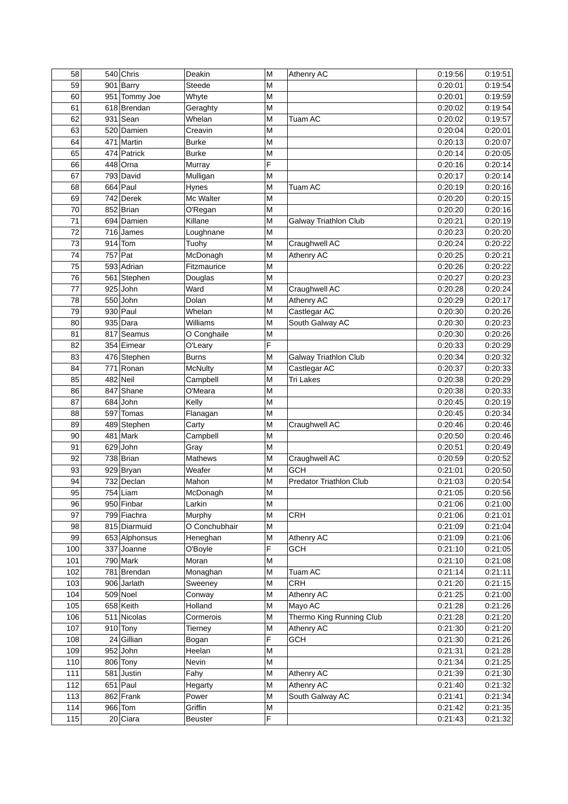| 58  |           | $540$ Chris   | Deakin         | M | Athenry AC               | 0:19:56            | 0:19:51 |
|-----|-----------|---------------|----------------|---|--------------------------|--------------------|---------|
| 59  |           | $901$ Barry   | <b>Steede</b>  | M |                          | 0:20:01            | 0:19:54 |
| 60  |           | 951 Tommy Joe | Whyte          | M |                          | 0:20:01            | 0:19:59 |
| 61  |           | 618 Brendan   | Geraghty       | M |                          | 0:20:02            | 0:19:54 |
| 62  |           | $931$ Sean    | Whelan         | M | Tuam AC                  | 0:20:02            | 0:19:57 |
| 63  |           | 520 Damien    | Creavin        | M |                          | 0:20:04            | 0:20:01 |
| 64  |           | 471 Martin    | <b>Burke</b>   | M |                          | 0:20:13            | 0:20:07 |
| 65  |           | 474 Patrick   |                | M |                          | 0:20:14            | 0:20:05 |
|     |           |               | <b>Burke</b>   |   |                          |                    |         |
| 66  |           | 448 Orna      | Murray         | F |                          | 0:20:16            | 0:20:14 |
| 67  |           | 793 David     | Mulligan       | M |                          | 0:20:17            | 0:20:14 |
| 68  |           | $664$ Paul    | Hynes          | M | Tuam AC                  | 0:20:19            | 0:20:16 |
| 69  |           | 742 Derek     | Mc Walter      | M |                          | 0:20:20            | 0:20:15 |
| 70  |           | 852 Brian     | O'Regan        | M |                          | 0:20:20            | 0:20:16 |
| 71  |           | 694 Damien    | Killane        | M | Galway Triathlon Club    | 0:20:21            | 0:20:19 |
| 72  |           | 716 James     | Loughnane      | M |                          | 0:20:23            | 0:20:20 |
| 73  |           | $914$ Tom     | Tuohy          | M | Craughwell AC            | 0:20:24            | 0:20:22 |
| 74  | $757$ Pat |               | McDonagh       | M | Athenry AC               | 0:20:25            | 0:20:21 |
| 75  |           | 593 Adrian    | Fitzmaurice    | M |                          | 0:20:26            | 0:20:22 |
| 76  |           | 561 Stephen   | Douglas        | M |                          | 0:20:27            | 0:20:23 |
| 77  |           | $925$ John    | Ward           | M | Craughwell AC            | 0:20:28            | 0:20:24 |
| 78  |           | $550$ John    | Dolan          | M | Athenry AC               | 0:20:29            | 0:20:17 |
| 79  |           | $930$ Paul    | Whelan         | M | Castlegar AC             | 0:20:30            | 0:20:26 |
| 80  |           | 935 Dara      | Williams       |   |                          | 0:20:30            | 0:20:23 |
|     |           |               |                | M | South Galway AC          |                    |         |
| 81  |           | 817 Seamus    | O Conghaile    | M |                          | 0:20:30            | 0:20:26 |
| 82  |           | 354 Eimear    | O'Leary        | F |                          | 0:20:33            | 0:20:29 |
| 83  |           | 476 Stephen   | <b>Burns</b>   | M | Galway Triathlon Club    | 0:20:34            | 0:20:32 |
| 84  |           | 771 Ronan     | <b>McNulty</b> | M | Castlegar AC             | 0:20:37            | 0:20:33 |
| 85  |           | 482 Neil      | Campbell       | M | <b>Tri Lakes</b>         | 0:20:38            | 0:20:29 |
| 86  |           | 847 Shane     | O'Meara        | M |                          | 0:20:38            | 0:20:33 |
| 87  |           | 684 John      | Kelly          | M |                          | 0:20:45            | 0:20:19 |
| 88  |           | 597 Tomas     | Flanagan       | M |                          | 0:20:45            | 0:20:34 |
| 89  |           | 489 Stephen   | Carty          | M | Craughwell AC            | 0:20:46            | 0:20:46 |
| 90  |           | $481$ Mark    | Campbell       | M |                          | 0:20:50            | 0:20:46 |
| 91  |           | $629$ John    | Gray           | M |                          | 0:20:51            | 0:20:49 |
| 92  |           | 738 Brian     | <b>Mathews</b> | M | Craughwell AC            | 0:20:59            | 0:20:52 |
| 93  |           | 929 Bryan     | Weafer         | M | <b>GCH</b>               | 0:21:01            | 0:20:50 |
| 94  |           | 732 Declan    | Mahon          | M | Predator Triathlon Club  | 0:21:03            | 0:20:54 |
| 95  |           | $754$ Liam    | McDonagh       | M |                          | 0:21:05            | 0:20:56 |
| 96  |           | 950 Finbar    | Larkin         | M |                          | 0:21:06            | 0:21:00 |
| 97  |           |               |                | M |                          |                    |         |
|     |           | 799 Fiachra   | Murphy         |   | CRH                      | 0:21:06<br>0:21:09 | 0:21:01 |
| 98  |           | 815 Diarmuid  | O Conchubhair  | M |                          |                    | 0:21:04 |
| 99  |           | 653 Alphonsus | Heneghan       | M | Athenry AC               | 0:21:09            | 0:21:06 |
| 100 |           | 337 Joanne    | O'Boyle        | F | <b>GCH</b>               | 0:21:10            | 0:21:05 |
| 101 |           | $790$ Mark    | Moran          | M |                          | 0:21:10            | 0:21:08 |
| 102 |           | 781 Brendan   | Monaghan       | M | Tuam AC                  | 0:21:14            | 0:21:11 |
| 103 |           | 906 Jarlath   | Sweeney        | M | <b>CRH</b>               | 0:21:20            | 0:21:15 |
| 104 |           | $509$ Noel    | Conway         | M | Athenry AC               | 0:21:25            | 0:21:00 |
| 105 |           | 658 Keith     | Holland        | M | Mayo AC                  | 0:21:28            | 0:21:26 |
| 106 |           | 511 Nicolas   | Cormerois      | M | Thermo King Running Club | 0:21:28            | 0:21:20 |
| 107 |           | $910$ Tony    | Tierney        | M | Athenry AC               | 0:21:30            | 0:21:20 |
| 108 |           | 24 Gillian    | Bogan          | F | <b>GCH</b>               | 0:21:30            | 0:21:26 |
| 109 |           | $952$ John    | Heelan         | M |                          | 0:21:31            | 0:21:28 |
| 110 |           | 806 Tony      | Nevin          | M |                          | 0:21:34            | 0:21:25 |
| 111 |           | 581 Justin    | Fahy           | M | Athenry AC               | 0:21:39            | 0:21:30 |
| 112 |           | $651$ Paul    | Hegarty        | M | Athenry AC               | 0:21:40            | 0:21:32 |
| 113 |           | 862 Frank     | Power          | M | South Galway AC          | 0:21:41            | 0:21:34 |
| 114 |           | $966$ Tom     | Griffin        | M |                          | 0:21:42            | 0:21:35 |
|     |           |               |                | F |                          |                    |         |
| 115 |           | 20 Ciara      | <b>Beuster</b> |   |                          | 0:21:43            | 0:21:32 |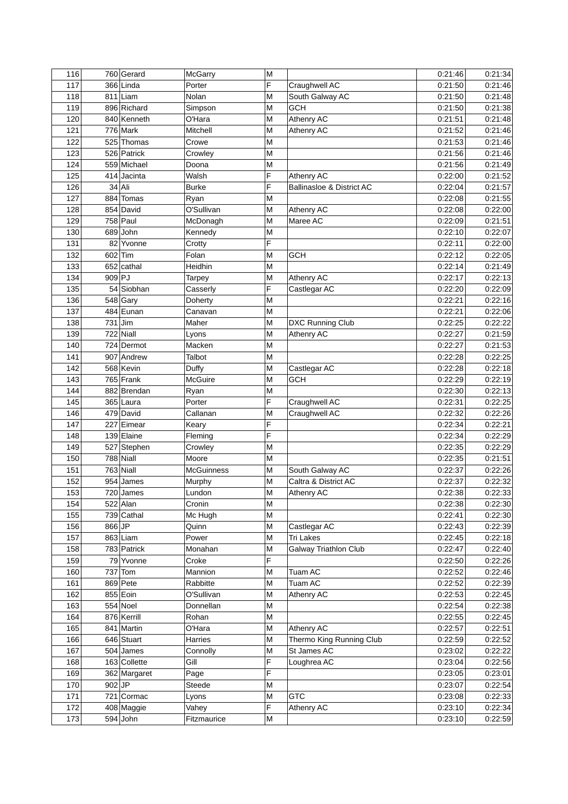| 116 |           | 760 Gerard   | McGarry           | M |                           | 0:21:46 | 0:21:34 |
|-----|-----------|--------------|-------------------|---|---------------------------|---------|---------|
| 117 |           | 366 Linda    | Porter            | F | Craughwell AC             | 0:21:50 | 0:21:46 |
| 118 |           | $811$   Liam | Nolan             | M | South Galway AC           | 0:21:50 | 0:21:48 |
| 119 |           | 896 Richard  | Simpson           | M | <b>GCH</b>                | 0:21:50 | 0:21:38 |
| 120 |           | 840 Kenneth  | O'Hara            | M | Athenry AC                | 0:21:51 | 0:21:48 |
| 121 |           | $776$ Mark   | Mitchell          | M | <b>Athenry AC</b>         | 0:21:52 | 0:21:46 |
| 122 |           | 525 Thomas   | Crowe             | M |                           | 0:21:53 | 0:21:46 |
| 123 |           | 526 Patrick  | Crowley           | M |                           | 0:21:56 | 0:21:46 |
| 124 |           | 559 Michael  | Doona             | M |                           | 0:21:56 | 0:21:49 |
| 125 |           | 414 Jacinta  | Walsh             | F | Athenry AC                | 0:22:00 | 0:21:52 |
| 126 |           | 34 Ali       | <b>Burke</b>      | F | Ballinasloe & District AC | 0:22:04 | 0:21:57 |
| 127 |           | 884 Tomas    | Ryan              | M |                           | 0:22:08 | 0:21:55 |
| 128 |           | 854 David    | O'Sullivan        | M | Athenry AC                | 0:22:08 | 0:22:00 |
| 129 |           | $758$ Paul   | McDonagh          | M | Maree AC                  | 0:22:09 | 0:21:51 |
| 130 |           | $689$ John   | Kennedy           | M |                           | 0:22:10 | 0:22:07 |
| 131 | 82        | Yvonne       | Crotty            | F |                           | 0:22:11 | 0:22:00 |
| 132 | $602$ Tim |              | Folan             | M | <b>GCH</b>                | 0:22:12 | 0:22:05 |
| 133 |           | $652$ cathal | Heidhin           | M |                           | 0:22:14 | 0:21:49 |
| 134 | 909 PJ    |              | Tarpey            | M | <b>Athenry AC</b>         | 0:22:17 | 0:22:13 |
| 135 |           | 54 Siobhan   | Casserly          | F | Castlegar AC              | 0:22:20 | 0:22:09 |
| 136 |           | $548$ Gary   | Doherty           | M |                           | 0:22:21 | 0:22:16 |
| 137 |           | 484 Eunan    | Canavan           | M |                           | 0:22:21 | 0:22:06 |
| 138 | $731$ Jim |              | Maher             | M | DXC Running Club          | 0:22:25 | 0:22:22 |
| 139 |           | 722 Niall    | Lyons             | M | Athenry AC                | 0:22:27 | 0:21:59 |
| 140 |           | 724 Dermot   | Macken            | M |                           | 0:22:27 | 0:21:53 |
| 141 |           | 907 Andrew   | Talbot            | M |                           | 0:22:28 | 0:22:25 |
| 142 |           | 568 Kevin    | Duffy             | M | Castlegar AC              | 0:22:28 | 0:22:18 |
| 143 |           | 765 Frank    | McGuire           | M | <b>GCH</b>                | 0:22:29 | 0:22:19 |
| 144 |           | 882 Brendan  | Ryan              | M |                           | 0:22:30 | 0:22:13 |
| 145 |           | 365 Laura    | Porter            | F | Craughwell AC             | 0:22:31 | 0:22:25 |
| 146 |           | 479 David    | Callanan          | M | Craughwell AC             | 0:22:32 | 0:22:26 |
| 147 |           | 227 Eimear   | Keary             | F |                           | 0:22:34 | 0:22:21 |
| 148 |           | 139 Elaine   | Fleming           | F |                           | 0:22:34 | 0:22:29 |
| 149 |           | 527 Stephen  | Crowley           | M |                           | 0:22:35 | 0:22:29 |
| 150 |           | $788$ Niall  | Moore             | M |                           | 0:22:35 | 0:21:51 |
| 151 |           | $763$ Niall  | <b>McGuinness</b> | M | South Galway AC           | 0:22:37 | 0:22:26 |
| 152 |           | 954 James    | Murphy            | M | Caltra & District AC      | 0:22:37 | 0:22:32 |
| 153 |           | 720 James    | Lundon            | M | Athenry AC                | 0:22:38 | 0:22:33 |
| 154 |           | $522$ Alan   | Cronin            | M |                           | 0:22:38 | 0:22:30 |
| 155 |           | 739 Cathal   | Mc Hugh           | M |                           | 0:22:41 | 0:22:30 |
| 156 | $866$ JP  |              | Quinn             | M | Castlegar AC              | 0:22:43 | 0:22:39 |
| 157 |           | 863 Liam     | Power             | M | <b>Tri Lakes</b>          | 0:22:45 | 0:22:18 |
| 158 |           | 783 Patrick  | Monahan           | M | Galway Triathlon Club     | 0:22:47 | 0:22:40 |
| 159 |           | 79 Yvonne    | Croke             | F |                           | 0:22:50 | 0:22:26 |
| 160 |           | $737$ Tom    | Mannion           | M | Tuam AC                   | 0:22:52 | 0:22:46 |
| 161 |           | 869 Pete     | Rabbitte          | M | Tuam AC                   | 0:22:52 | 0:22:39 |
|     |           |              | O'Sullivan        |   |                           |         |         |
| 162 |           | 855 Eoin     |                   | M | Athenry AC                | 0:22:53 | 0:22:45 |
| 163 |           | $554$ Noel   | Donnellan         | M |                           | 0:22:54 | 0:22:38 |
| 164 |           | 876 Kerrill  | Rohan             | M |                           | 0:22:55 | 0:22:45 |
| 165 |           | 841 Martin   | O'Hara            | M | Athenry AC                | 0:22:57 | 0:22:51 |
| 166 |           | 646 Stuart   | Harries           | M | Thermo King Running Club  | 0:22:59 | 0:22:52 |
| 167 |           | $504$ James  | Connolly          | M | St James AC               | 0:23:02 | 0:22:22 |
| 168 |           | 163 Collette | Gill              | F | Loughrea AC               | 0:23:04 | 0:22:56 |
| 169 |           | 362 Margaret | Page              | F |                           | 0:23:05 | 0:23:01 |
| 170 | $902$ JP  |              | Steede            | М |                           | 0:23:07 | 0:22:54 |
| 171 |           | 721 Cormac   | Lyons             | M | <b>GTC</b>                | 0:23:08 | 0:22:33 |
| 172 |           | 408 Maggie   | Vahey             | F | Athenry AC                | 0:23:10 | 0:22:34 |
| 173 |           | $594$ John   | Fitzmaurice       | M |                           | 0:23:10 | 0:22:59 |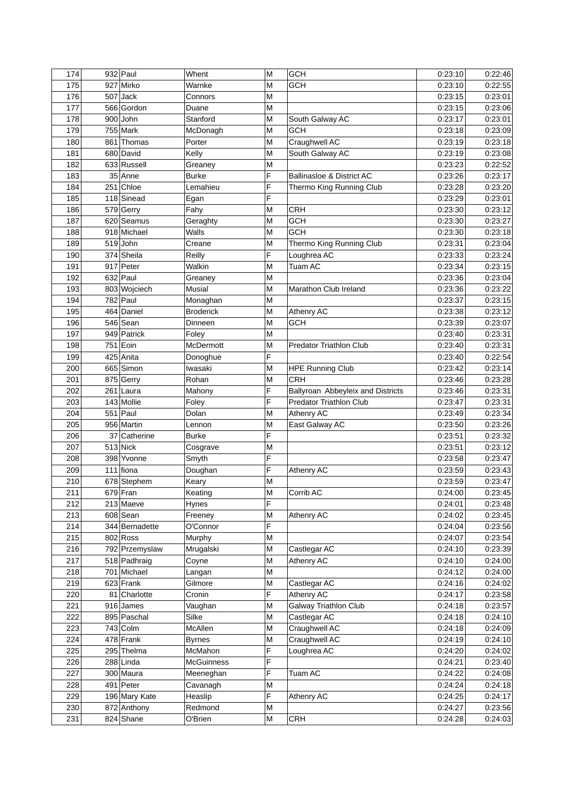| 175<br>927 Mirko<br>GCH<br>0:23:10<br>0:22:55<br>Warnke<br>M<br>176<br>$507$ Jack<br>M<br>0:23:15<br>0:23:01<br>Connors<br>177<br>566 Gordon<br>0:23:15<br>0:23:06<br>M<br>Duane<br>178<br>$900$ John<br>0:23:17<br>0:23:01<br>Stanford<br>M<br>South Galway AC<br>0:23:09<br>179<br>$755$ Mark<br>M<br><b>GCH</b><br>0:23:18<br>McDonagh<br>Craughwell AC<br>0:23:18<br>180<br>861 Thomas<br>0:23:19<br>Porter<br>M<br>680 David<br>0:23:19<br>0:23:08<br>181<br>Kelly<br>South Galway AC<br>M<br>633 Russell<br>0:22:52<br>182<br>0:23:23<br>Greaney<br>M<br>F<br>0:23:17<br>183<br>35 Anne<br><b>Burke</b><br>Ballinasloe & District AC<br>0:23:26<br>0:23:20<br>184<br>251 Chloe<br>F<br>0:23:28<br>Lemahieu<br>Thermo King Running Club<br>F<br>0:23:01<br>185<br>118 Sinead<br>0:23:29<br>Egan<br>186<br>579 Gerry<br>Fahy<br><b>CRH</b><br>0:23:30<br>0:23:12<br>M<br>0:23:27<br>187<br>620 Seamus<br>M<br>GCH<br>0:23:30<br>Geraghty<br>0:23:18<br>188<br>918 Michael<br>Walls<br><b>GCH</b><br>0:23:30<br>M<br>0:23:04<br>189<br>$519$ John<br>0:23:31<br>Creane<br>M<br>Thermo King Running Club<br>374 Sheila<br>0:23:24<br>190<br>Reilly<br>F<br>Loughrea AC<br>0:23:33<br>Walkin<br>0:23:15<br>191<br>917 Peter<br>Tuam AC<br>0:23:34<br>M<br>$632$ Paul<br>0:23:04<br>192<br>0:23:36<br>M<br>Greaney<br>0:23:22<br>193<br>803 Wojciech<br><b>Musial</b><br>0:23:36<br>M<br>Marathon Club Ireland<br>$782$ Paul<br>0:23:15<br>194<br>0:23:37<br>Monaghan<br>M<br>464 Daniel<br>0:23:12<br>195<br><b>Broderick</b><br>Athenry AC<br>0:23:38<br>M<br>$546$ Sean<br>196<br>M<br><b>GCH</b><br>0:23:07<br>Dinneen<br>0:23:39<br>197<br>949 Patrick<br>0:23:31<br>Foley<br>M<br>0:23:40<br>198<br>751 Eoin<br>McDermott<br>M<br><b>Predator Triathlon Club</b><br>0:23:40<br>0:23:31<br>F<br>199<br>425 Anita<br>0:22:54<br>Donoghue<br>0:23:40<br>200<br>665 Simon<br>Iwasaki<br>0:23:42<br>0:23:14<br>M<br><b>HPE Running Club</b><br>201<br>875 Gerry<br>M<br><b>CRH</b><br>0:23:46<br>0:23:28<br>Rohan<br>F<br>202<br>$261$ Laura<br>Ballyroan Abbeyleix and Districts<br>0:23:46<br>0:23:31<br>Mahony<br>F<br>203<br>143 Mollie<br>Foley<br>Predator Triathlon Club<br>0:23:47<br>0:23:31<br>204<br>$551$ Paul<br>Dolan<br>M<br>Athenry AC<br>0:23:34<br>0:23:49<br>205<br>956 Martin<br>M<br>East Galway AC<br>0:23:50<br>0:23:26<br>Lennon<br>F<br>206<br>37 Catherine<br>0:23:51<br>0:23:32<br><b>Burke</b><br>207<br>$513$ Nick<br>M<br>0:23:51<br>0:23:12<br>Cosgrave<br>F<br>208<br>398 Yvonne<br>0:23:47<br>Smyth<br>0:23:58<br>F<br>209<br>$111$ fiona<br>0:23:59<br>0:23:43<br>Doughan<br><b>Athenry AC</b><br>210<br>678 Stephem<br>M<br>0:23:59<br>0:23:47<br>Keary<br>$679$ Fran<br>211<br>M<br>0:24:00<br>0:23:45<br>Keating<br>Corrib AC<br>212<br>F<br>213 Maeve<br>0:24:01<br>0:23:48<br>Hynes<br>213<br>$608$ Sean<br>M<br>0:24:02<br>0:23:45<br>Freeney<br>Athenry AC<br>F<br>214<br>344 Bernadette<br>O'Connor<br>0:24:04<br>0:23:56<br>215<br>802 Ross<br>M<br>0:24:07<br>0:23:54<br>Murphy<br>216<br>792 Przemyslaw<br>Mrugalski<br>Castlegar AC<br>0:24:10<br>0:23:39<br>M<br>217<br>0:24:10<br>0:24:00<br>518 Padhraig<br>Coyne<br>M<br>Athenry AC<br>218<br>0:24:00<br>701 Michael<br>M<br>0:24:12<br>Langan<br>219<br>$623$ Frank<br>Castlegar AC<br>0:24:02<br>Gilmore<br>M<br>0:24:16<br>220<br>81 Charlotte<br>F<br>Athenry AC<br>0:24:17<br>0:23:58<br>Cronin<br>0:23:57<br>221<br>916 James<br>M<br><b>Galway Triathlon Club</b><br>0:24:18<br>Vaughan<br>Silke<br>222<br>895 Paschal<br>0:24:18<br>0:24:10<br>M<br>Castlegar AC<br>223<br>$743$ Colm<br>McAllen<br>Craughwell AC<br>0:24:18<br>0:24:09<br>M<br>224<br>$478$ Frank<br>Craughwell AC<br>0:24:19<br>0:24:10<br><b>Byrnes</b><br>M<br>F<br>225<br>295 Thelma<br>McMahon<br>Loughrea AC<br>0:24:20<br>0:24:02<br>$288$ Linda<br>F<br>0:24:21<br>0:23:40<br>226<br><b>McGuinness</b><br>F<br>227<br>300 Maura<br>Tuam AC<br>0:24:22<br>0:24:08<br>Meeneghan<br>228<br>Cavanagh<br>0:24:24<br>0:24:18<br>491 Peter<br>М<br>229<br>F<br>0:24:17<br>196 Mary Kate<br>Heaslip<br>Athenry AC<br>0:24:25<br>0:23:56<br>230<br>872 Anthony<br>Redmond<br>0:24:27<br>М<br>231<br>824 Shane<br>O'Brien<br>0:24:28<br>0:24:03<br>М<br>CRH | 174 | $932$ Paul | Whent | M | <b>GCH</b> | 0:23:10 | 0:22:46 |
|---------------------------------------------------------------------------------------------------------------------------------------------------------------------------------------------------------------------------------------------------------------------------------------------------------------------------------------------------------------------------------------------------------------------------------------------------------------------------------------------------------------------------------------------------------------------------------------------------------------------------------------------------------------------------------------------------------------------------------------------------------------------------------------------------------------------------------------------------------------------------------------------------------------------------------------------------------------------------------------------------------------------------------------------------------------------------------------------------------------------------------------------------------------------------------------------------------------------------------------------------------------------------------------------------------------------------------------------------------------------------------------------------------------------------------------------------------------------------------------------------------------------------------------------------------------------------------------------------------------------------------------------------------------------------------------------------------------------------------------------------------------------------------------------------------------------------------------------------------------------------------------------------------------------------------------------------------------------------------------------------------------------------------------------------------------------------------------------------------------------------------------------------------------------------------------------------------------------------------------------------------------------------------------------------------------------------------------------------------------------------------------------------------------------------------------------------------------------------------------------------------------------------------------------------------------------------------------------------------------------------------------------------------------------------------------------------------------------------------------------------------------------------------------------------------------------------------------------------------------------------------------------------------------------------------------------------------------------------------------------------------------------------------------------------------------------------------------------------------------------------------------------------------------------------------------------------------------------------------------------------------------------------------------------------------------------------------------------------------------------------------------------------------------------------------------------------------------------------------------------------------------------------------------------------------------------------------------------------------------------------------------------------------------------------------------------------------------------------------------------------------------------------------------------------------------------------------------------------------------------------------------------------------------------------------------------------------------------------------------------------------------------------------------------------------------------------------------------------------------------------------------------------------------------------------------------------------------------------------------|-----|------------|-------|---|------------|---------|---------|
|                                                                                                                                                                                                                                                                                                                                                                                                                                                                                                                                                                                                                                                                                                                                                                                                                                                                                                                                                                                                                                                                                                                                                                                                                                                                                                                                                                                                                                                                                                                                                                                                                                                                                                                                                                                                                                                                                                                                                                                                                                                                                                                                                                                                                                                                                                                                                                                                                                                                                                                                                                                                                                                                                                                                                                                                                                                                                                                                                                                                                                                                                                                                                                                                                                                                                                                                                                                                                                                                                                                                                                                                                                                                                                                                                                                                                                                                                                                                                                                                                                                                                                                                                                                                                                       |     |            |       |   |            |         |         |
|                                                                                                                                                                                                                                                                                                                                                                                                                                                                                                                                                                                                                                                                                                                                                                                                                                                                                                                                                                                                                                                                                                                                                                                                                                                                                                                                                                                                                                                                                                                                                                                                                                                                                                                                                                                                                                                                                                                                                                                                                                                                                                                                                                                                                                                                                                                                                                                                                                                                                                                                                                                                                                                                                                                                                                                                                                                                                                                                                                                                                                                                                                                                                                                                                                                                                                                                                                                                                                                                                                                                                                                                                                                                                                                                                                                                                                                                                                                                                                                                                                                                                                                                                                                                                                       |     |            |       |   |            |         |         |
|                                                                                                                                                                                                                                                                                                                                                                                                                                                                                                                                                                                                                                                                                                                                                                                                                                                                                                                                                                                                                                                                                                                                                                                                                                                                                                                                                                                                                                                                                                                                                                                                                                                                                                                                                                                                                                                                                                                                                                                                                                                                                                                                                                                                                                                                                                                                                                                                                                                                                                                                                                                                                                                                                                                                                                                                                                                                                                                                                                                                                                                                                                                                                                                                                                                                                                                                                                                                                                                                                                                                                                                                                                                                                                                                                                                                                                                                                                                                                                                                                                                                                                                                                                                                                                       |     |            |       |   |            |         |         |
|                                                                                                                                                                                                                                                                                                                                                                                                                                                                                                                                                                                                                                                                                                                                                                                                                                                                                                                                                                                                                                                                                                                                                                                                                                                                                                                                                                                                                                                                                                                                                                                                                                                                                                                                                                                                                                                                                                                                                                                                                                                                                                                                                                                                                                                                                                                                                                                                                                                                                                                                                                                                                                                                                                                                                                                                                                                                                                                                                                                                                                                                                                                                                                                                                                                                                                                                                                                                                                                                                                                                                                                                                                                                                                                                                                                                                                                                                                                                                                                                                                                                                                                                                                                                                                       |     |            |       |   |            |         |         |
|                                                                                                                                                                                                                                                                                                                                                                                                                                                                                                                                                                                                                                                                                                                                                                                                                                                                                                                                                                                                                                                                                                                                                                                                                                                                                                                                                                                                                                                                                                                                                                                                                                                                                                                                                                                                                                                                                                                                                                                                                                                                                                                                                                                                                                                                                                                                                                                                                                                                                                                                                                                                                                                                                                                                                                                                                                                                                                                                                                                                                                                                                                                                                                                                                                                                                                                                                                                                                                                                                                                                                                                                                                                                                                                                                                                                                                                                                                                                                                                                                                                                                                                                                                                                                                       |     |            |       |   |            |         |         |
|                                                                                                                                                                                                                                                                                                                                                                                                                                                                                                                                                                                                                                                                                                                                                                                                                                                                                                                                                                                                                                                                                                                                                                                                                                                                                                                                                                                                                                                                                                                                                                                                                                                                                                                                                                                                                                                                                                                                                                                                                                                                                                                                                                                                                                                                                                                                                                                                                                                                                                                                                                                                                                                                                                                                                                                                                                                                                                                                                                                                                                                                                                                                                                                                                                                                                                                                                                                                                                                                                                                                                                                                                                                                                                                                                                                                                                                                                                                                                                                                                                                                                                                                                                                                                                       |     |            |       |   |            |         |         |
|                                                                                                                                                                                                                                                                                                                                                                                                                                                                                                                                                                                                                                                                                                                                                                                                                                                                                                                                                                                                                                                                                                                                                                                                                                                                                                                                                                                                                                                                                                                                                                                                                                                                                                                                                                                                                                                                                                                                                                                                                                                                                                                                                                                                                                                                                                                                                                                                                                                                                                                                                                                                                                                                                                                                                                                                                                                                                                                                                                                                                                                                                                                                                                                                                                                                                                                                                                                                                                                                                                                                                                                                                                                                                                                                                                                                                                                                                                                                                                                                                                                                                                                                                                                                                                       |     |            |       |   |            |         |         |
|                                                                                                                                                                                                                                                                                                                                                                                                                                                                                                                                                                                                                                                                                                                                                                                                                                                                                                                                                                                                                                                                                                                                                                                                                                                                                                                                                                                                                                                                                                                                                                                                                                                                                                                                                                                                                                                                                                                                                                                                                                                                                                                                                                                                                                                                                                                                                                                                                                                                                                                                                                                                                                                                                                                                                                                                                                                                                                                                                                                                                                                                                                                                                                                                                                                                                                                                                                                                                                                                                                                                                                                                                                                                                                                                                                                                                                                                                                                                                                                                                                                                                                                                                                                                                                       |     |            |       |   |            |         |         |
|                                                                                                                                                                                                                                                                                                                                                                                                                                                                                                                                                                                                                                                                                                                                                                                                                                                                                                                                                                                                                                                                                                                                                                                                                                                                                                                                                                                                                                                                                                                                                                                                                                                                                                                                                                                                                                                                                                                                                                                                                                                                                                                                                                                                                                                                                                                                                                                                                                                                                                                                                                                                                                                                                                                                                                                                                                                                                                                                                                                                                                                                                                                                                                                                                                                                                                                                                                                                                                                                                                                                                                                                                                                                                                                                                                                                                                                                                                                                                                                                                                                                                                                                                                                                                                       |     |            |       |   |            |         |         |
|                                                                                                                                                                                                                                                                                                                                                                                                                                                                                                                                                                                                                                                                                                                                                                                                                                                                                                                                                                                                                                                                                                                                                                                                                                                                                                                                                                                                                                                                                                                                                                                                                                                                                                                                                                                                                                                                                                                                                                                                                                                                                                                                                                                                                                                                                                                                                                                                                                                                                                                                                                                                                                                                                                                                                                                                                                                                                                                                                                                                                                                                                                                                                                                                                                                                                                                                                                                                                                                                                                                                                                                                                                                                                                                                                                                                                                                                                                                                                                                                                                                                                                                                                                                                                                       |     |            |       |   |            |         |         |
|                                                                                                                                                                                                                                                                                                                                                                                                                                                                                                                                                                                                                                                                                                                                                                                                                                                                                                                                                                                                                                                                                                                                                                                                                                                                                                                                                                                                                                                                                                                                                                                                                                                                                                                                                                                                                                                                                                                                                                                                                                                                                                                                                                                                                                                                                                                                                                                                                                                                                                                                                                                                                                                                                                                                                                                                                                                                                                                                                                                                                                                                                                                                                                                                                                                                                                                                                                                                                                                                                                                                                                                                                                                                                                                                                                                                                                                                                                                                                                                                                                                                                                                                                                                                                                       |     |            |       |   |            |         |         |
|                                                                                                                                                                                                                                                                                                                                                                                                                                                                                                                                                                                                                                                                                                                                                                                                                                                                                                                                                                                                                                                                                                                                                                                                                                                                                                                                                                                                                                                                                                                                                                                                                                                                                                                                                                                                                                                                                                                                                                                                                                                                                                                                                                                                                                                                                                                                                                                                                                                                                                                                                                                                                                                                                                                                                                                                                                                                                                                                                                                                                                                                                                                                                                                                                                                                                                                                                                                                                                                                                                                                                                                                                                                                                                                                                                                                                                                                                                                                                                                                                                                                                                                                                                                                                                       |     |            |       |   |            |         |         |
|                                                                                                                                                                                                                                                                                                                                                                                                                                                                                                                                                                                                                                                                                                                                                                                                                                                                                                                                                                                                                                                                                                                                                                                                                                                                                                                                                                                                                                                                                                                                                                                                                                                                                                                                                                                                                                                                                                                                                                                                                                                                                                                                                                                                                                                                                                                                                                                                                                                                                                                                                                                                                                                                                                                                                                                                                                                                                                                                                                                                                                                                                                                                                                                                                                                                                                                                                                                                                                                                                                                                                                                                                                                                                                                                                                                                                                                                                                                                                                                                                                                                                                                                                                                                                                       |     |            |       |   |            |         |         |
|                                                                                                                                                                                                                                                                                                                                                                                                                                                                                                                                                                                                                                                                                                                                                                                                                                                                                                                                                                                                                                                                                                                                                                                                                                                                                                                                                                                                                                                                                                                                                                                                                                                                                                                                                                                                                                                                                                                                                                                                                                                                                                                                                                                                                                                                                                                                                                                                                                                                                                                                                                                                                                                                                                                                                                                                                                                                                                                                                                                                                                                                                                                                                                                                                                                                                                                                                                                                                                                                                                                                                                                                                                                                                                                                                                                                                                                                                                                                                                                                                                                                                                                                                                                                                                       |     |            |       |   |            |         |         |
|                                                                                                                                                                                                                                                                                                                                                                                                                                                                                                                                                                                                                                                                                                                                                                                                                                                                                                                                                                                                                                                                                                                                                                                                                                                                                                                                                                                                                                                                                                                                                                                                                                                                                                                                                                                                                                                                                                                                                                                                                                                                                                                                                                                                                                                                                                                                                                                                                                                                                                                                                                                                                                                                                                                                                                                                                                                                                                                                                                                                                                                                                                                                                                                                                                                                                                                                                                                                                                                                                                                                                                                                                                                                                                                                                                                                                                                                                                                                                                                                                                                                                                                                                                                                                                       |     |            |       |   |            |         |         |
|                                                                                                                                                                                                                                                                                                                                                                                                                                                                                                                                                                                                                                                                                                                                                                                                                                                                                                                                                                                                                                                                                                                                                                                                                                                                                                                                                                                                                                                                                                                                                                                                                                                                                                                                                                                                                                                                                                                                                                                                                                                                                                                                                                                                                                                                                                                                                                                                                                                                                                                                                                                                                                                                                                                                                                                                                                                                                                                                                                                                                                                                                                                                                                                                                                                                                                                                                                                                                                                                                                                                                                                                                                                                                                                                                                                                                                                                                                                                                                                                                                                                                                                                                                                                                                       |     |            |       |   |            |         |         |
|                                                                                                                                                                                                                                                                                                                                                                                                                                                                                                                                                                                                                                                                                                                                                                                                                                                                                                                                                                                                                                                                                                                                                                                                                                                                                                                                                                                                                                                                                                                                                                                                                                                                                                                                                                                                                                                                                                                                                                                                                                                                                                                                                                                                                                                                                                                                                                                                                                                                                                                                                                                                                                                                                                                                                                                                                                                                                                                                                                                                                                                                                                                                                                                                                                                                                                                                                                                                                                                                                                                                                                                                                                                                                                                                                                                                                                                                                                                                                                                                                                                                                                                                                                                                                                       |     |            |       |   |            |         |         |
|                                                                                                                                                                                                                                                                                                                                                                                                                                                                                                                                                                                                                                                                                                                                                                                                                                                                                                                                                                                                                                                                                                                                                                                                                                                                                                                                                                                                                                                                                                                                                                                                                                                                                                                                                                                                                                                                                                                                                                                                                                                                                                                                                                                                                                                                                                                                                                                                                                                                                                                                                                                                                                                                                                                                                                                                                                                                                                                                                                                                                                                                                                                                                                                                                                                                                                                                                                                                                                                                                                                                                                                                                                                                                                                                                                                                                                                                                                                                                                                                                                                                                                                                                                                                                                       |     |            |       |   |            |         |         |
|                                                                                                                                                                                                                                                                                                                                                                                                                                                                                                                                                                                                                                                                                                                                                                                                                                                                                                                                                                                                                                                                                                                                                                                                                                                                                                                                                                                                                                                                                                                                                                                                                                                                                                                                                                                                                                                                                                                                                                                                                                                                                                                                                                                                                                                                                                                                                                                                                                                                                                                                                                                                                                                                                                                                                                                                                                                                                                                                                                                                                                                                                                                                                                                                                                                                                                                                                                                                                                                                                                                                                                                                                                                                                                                                                                                                                                                                                                                                                                                                                                                                                                                                                                                                                                       |     |            |       |   |            |         |         |
|                                                                                                                                                                                                                                                                                                                                                                                                                                                                                                                                                                                                                                                                                                                                                                                                                                                                                                                                                                                                                                                                                                                                                                                                                                                                                                                                                                                                                                                                                                                                                                                                                                                                                                                                                                                                                                                                                                                                                                                                                                                                                                                                                                                                                                                                                                                                                                                                                                                                                                                                                                                                                                                                                                                                                                                                                                                                                                                                                                                                                                                                                                                                                                                                                                                                                                                                                                                                                                                                                                                                                                                                                                                                                                                                                                                                                                                                                                                                                                                                                                                                                                                                                                                                                                       |     |            |       |   |            |         |         |
|                                                                                                                                                                                                                                                                                                                                                                                                                                                                                                                                                                                                                                                                                                                                                                                                                                                                                                                                                                                                                                                                                                                                                                                                                                                                                                                                                                                                                                                                                                                                                                                                                                                                                                                                                                                                                                                                                                                                                                                                                                                                                                                                                                                                                                                                                                                                                                                                                                                                                                                                                                                                                                                                                                                                                                                                                                                                                                                                                                                                                                                                                                                                                                                                                                                                                                                                                                                                                                                                                                                                                                                                                                                                                                                                                                                                                                                                                                                                                                                                                                                                                                                                                                                                                                       |     |            |       |   |            |         |         |
|                                                                                                                                                                                                                                                                                                                                                                                                                                                                                                                                                                                                                                                                                                                                                                                                                                                                                                                                                                                                                                                                                                                                                                                                                                                                                                                                                                                                                                                                                                                                                                                                                                                                                                                                                                                                                                                                                                                                                                                                                                                                                                                                                                                                                                                                                                                                                                                                                                                                                                                                                                                                                                                                                                                                                                                                                                                                                                                                                                                                                                                                                                                                                                                                                                                                                                                                                                                                                                                                                                                                                                                                                                                                                                                                                                                                                                                                                                                                                                                                                                                                                                                                                                                                                                       |     |            |       |   |            |         |         |
|                                                                                                                                                                                                                                                                                                                                                                                                                                                                                                                                                                                                                                                                                                                                                                                                                                                                                                                                                                                                                                                                                                                                                                                                                                                                                                                                                                                                                                                                                                                                                                                                                                                                                                                                                                                                                                                                                                                                                                                                                                                                                                                                                                                                                                                                                                                                                                                                                                                                                                                                                                                                                                                                                                                                                                                                                                                                                                                                                                                                                                                                                                                                                                                                                                                                                                                                                                                                                                                                                                                                                                                                                                                                                                                                                                                                                                                                                                                                                                                                                                                                                                                                                                                                                                       |     |            |       |   |            |         |         |
|                                                                                                                                                                                                                                                                                                                                                                                                                                                                                                                                                                                                                                                                                                                                                                                                                                                                                                                                                                                                                                                                                                                                                                                                                                                                                                                                                                                                                                                                                                                                                                                                                                                                                                                                                                                                                                                                                                                                                                                                                                                                                                                                                                                                                                                                                                                                                                                                                                                                                                                                                                                                                                                                                                                                                                                                                                                                                                                                                                                                                                                                                                                                                                                                                                                                                                                                                                                                                                                                                                                                                                                                                                                                                                                                                                                                                                                                                                                                                                                                                                                                                                                                                                                                                                       |     |            |       |   |            |         |         |
|                                                                                                                                                                                                                                                                                                                                                                                                                                                                                                                                                                                                                                                                                                                                                                                                                                                                                                                                                                                                                                                                                                                                                                                                                                                                                                                                                                                                                                                                                                                                                                                                                                                                                                                                                                                                                                                                                                                                                                                                                                                                                                                                                                                                                                                                                                                                                                                                                                                                                                                                                                                                                                                                                                                                                                                                                                                                                                                                                                                                                                                                                                                                                                                                                                                                                                                                                                                                                                                                                                                                                                                                                                                                                                                                                                                                                                                                                                                                                                                                                                                                                                                                                                                                                                       |     |            |       |   |            |         |         |
|                                                                                                                                                                                                                                                                                                                                                                                                                                                                                                                                                                                                                                                                                                                                                                                                                                                                                                                                                                                                                                                                                                                                                                                                                                                                                                                                                                                                                                                                                                                                                                                                                                                                                                                                                                                                                                                                                                                                                                                                                                                                                                                                                                                                                                                                                                                                                                                                                                                                                                                                                                                                                                                                                                                                                                                                                                                                                                                                                                                                                                                                                                                                                                                                                                                                                                                                                                                                                                                                                                                                                                                                                                                                                                                                                                                                                                                                                                                                                                                                                                                                                                                                                                                                                                       |     |            |       |   |            |         |         |
|                                                                                                                                                                                                                                                                                                                                                                                                                                                                                                                                                                                                                                                                                                                                                                                                                                                                                                                                                                                                                                                                                                                                                                                                                                                                                                                                                                                                                                                                                                                                                                                                                                                                                                                                                                                                                                                                                                                                                                                                                                                                                                                                                                                                                                                                                                                                                                                                                                                                                                                                                                                                                                                                                                                                                                                                                                                                                                                                                                                                                                                                                                                                                                                                                                                                                                                                                                                                                                                                                                                                                                                                                                                                                                                                                                                                                                                                                                                                                                                                                                                                                                                                                                                                                                       |     |            |       |   |            |         |         |
|                                                                                                                                                                                                                                                                                                                                                                                                                                                                                                                                                                                                                                                                                                                                                                                                                                                                                                                                                                                                                                                                                                                                                                                                                                                                                                                                                                                                                                                                                                                                                                                                                                                                                                                                                                                                                                                                                                                                                                                                                                                                                                                                                                                                                                                                                                                                                                                                                                                                                                                                                                                                                                                                                                                                                                                                                                                                                                                                                                                                                                                                                                                                                                                                                                                                                                                                                                                                                                                                                                                                                                                                                                                                                                                                                                                                                                                                                                                                                                                                                                                                                                                                                                                                                                       |     |            |       |   |            |         |         |
|                                                                                                                                                                                                                                                                                                                                                                                                                                                                                                                                                                                                                                                                                                                                                                                                                                                                                                                                                                                                                                                                                                                                                                                                                                                                                                                                                                                                                                                                                                                                                                                                                                                                                                                                                                                                                                                                                                                                                                                                                                                                                                                                                                                                                                                                                                                                                                                                                                                                                                                                                                                                                                                                                                                                                                                                                                                                                                                                                                                                                                                                                                                                                                                                                                                                                                                                                                                                                                                                                                                                                                                                                                                                                                                                                                                                                                                                                                                                                                                                                                                                                                                                                                                                                                       |     |            |       |   |            |         |         |
|                                                                                                                                                                                                                                                                                                                                                                                                                                                                                                                                                                                                                                                                                                                                                                                                                                                                                                                                                                                                                                                                                                                                                                                                                                                                                                                                                                                                                                                                                                                                                                                                                                                                                                                                                                                                                                                                                                                                                                                                                                                                                                                                                                                                                                                                                                                                                                                                                                                                                                                                                                                                                                                                                                                                                                                                                                                                                                                                                                                                                                                                                                                                                                                                                                                                                                                                                                                                                                                                                                                                                                                                                                                                                                                                                                                                                                                                                                                                                                                                                                                                                                                                                                                                                                       |     |            |       |   |            |         |         |
|                                                                                                                                                                                                                                                                                                                                                                                                                                                                                                                                                                                                                                                                                                                                                                                                                                                                                                                                                                                                                                                                                                                                                                                                                                                                                                                                                                                                                                                                                                                                                                                                                                                                                                                                                                                                                                                                                                                                                                                                                                                                                                                                                                                                                                                                                                                                                                                                                                                                                                                                                                                                                                                                                                                                                                                                                                                                                                                                                                                                                                                                                                                                                                                                                                                                                                                                                                                                                                                                                                                                                                                                                                                                                                                                                                                                                                                                                                                                                                                                                                                                                                                                                                                                                                       |     |            |       |   |            |         |         |
|                                                                                                                                                                                                                                                                                                                                                                                                                                                                                                                                                                                                                                                                                                                                                                                                                                                                                                                                                                                                                                                                                                                                                                                                                                                                                                                                                                                                                                                                                                                                                                                                                                                                                                                                                                                                                                                                                                                                                                                                                                                                                                                                                                                                                                                                                                                                                                                                                                                                                                                                                                                                                                                                                                                                                                                                                                                                                                                                                                                                                                                                                                                                                                                                                                                                                                                                                                                                                                                                                                                                                                                                                                                                                                                                                                                                                                                                                                                                                                                                                                                                                                                                                                                                                                       |     |            |       |   |            |         |         |
|                                                                                                                                                                                                                                                                                                                                                                                                                                                                                                                                                                                                                                                                                                                                                                                                                                                                                                                                                                                                                                                                                                                                                                                                                                                                                                                                                                                                                                                                                                                                                                                                                                                                                                                                                                                                                                                                                                                                                                                                                                                                                                                                                                                                                                                                                                                                                                                                                                                                                                                                                                                                                                                                                                                                                                                                                                                                                                                                                                                                                                                                                                                                                                                                                                                                                                                                                                                                                                                                                                                                                                                                                                                                                                                                                                                                                                                                                                                                                                                                                                                                                                                                                                                                                                       |     |            |       |   |            |         |         |
|                                                                                                                                                                                                                                                                                                                                                                                                                                                                                                                                                                                                                                                                                                                                                                                                                                                                                                                                                                                                                                                                                                                                                                                                                                                                                                                                                                                                                                                                                                                                                                                                                                                                                                                                                                                                                                                                                                                                                                                                                                                                                                                                                                                                                                                                                                                                                                                                                                                                                                                                                                                                                                                                                                                                                                                                                                                                                                                                                                                                                                                                                                                                                                                                                                                                                                                                                                                                                                                                                                                                                                                                                                                                                                                                                                                                                                                                                                                                                                                                                                                                                                                                                                                                                                       |     |            |       |   |            |         |         |
|                                                                                                                                                                                                                                                                                                                                                                                                                                                                                                                                                                                                                                                                                                                                                                                                                                                                                                                                                                                                                                                                                                                                                                                                                                                                                                                                                                                                                                                                                                                                                                                                                                                                                                                                                                                                                                                                                                                                                                                                                                                                                                                                                                                                                                                                                                                                                                                                                                                                                                                                                                                                                                                                                                                                                                                                                                                                                                                                                                                                                                                                                                                                                                                                                                                                                                                                                                                                                                                                                                                                                                                                                                                                                                                                                                                                                                                                                                                                                                                                                                                                                                                                                                                                                                       |     |            |       |   |            |         |         |
|                                                                                                                                                                                                                                                                                                                                                                                                                                                                                                                                                                                                                                                                                                                                                                                                                                                                                                                                                                                                                                                                                                                                                                                                                                                                                                                                                                                                                                                                                                                                                                                                                                                                                                                                                                                                                                                                                                                                                                                                                                                                                                                                                                                                                                                                                                                                                                                                                                                                                                                                                                                                                                                                                                                                                                                                                                                                                                                                                                                                                                                                                                                                                                                                                                                                                                                                                                                                                                                                                                                                                                                                                                                                                                                                                                                                                                                                                                                                                                                                                                                                                                                                                                                                                                       |     |            |       |   |            |         |         |
|                                                                                                                                                                                                                                                                                                                                                                                                                                                                                                                                                                                                                                                                                                                                                                                                                                                                                                                                                                                                                                                                                                                                                                                                                                                                                                                                                                                                                                                                                                                                                                                                                                                                                                                                                                                                                                                                                                                                                                                                                                                                                                                                                                                                                                                                                                                                                                                                                                                                                                                                                                                                                                                                                                                                                                                                                                                                                                                                                                                                                                                                                                                                                                                                                                                                                                                                                                                                                                                                                                                                                                                                                                                                                                                                                                                                                                                                                                                                                                                                                                                                                                                                                                                                                                       |     |            |       |   |            |         |         |
|                                                                                                                                                                                                                                                                                                                                                                                                                                                                                                                                                                                                                                                                                                                                                                                                                                                                                                                                                                                                                                                                                                                                                                                                                                                                                                                                                                                                                                                                                                                                                                                                                                                                                                                                                                                                                                                                                                                                                                                                                                                                                                                                                                                                                                                                                                                                                                                                                                                                                                                                                                                                                                                                                                                                                                                                                                                                                                                                                                                                                                                                                                                                                                                                                                                                                                                                                                                                                                                                                                                                                                                                                                                                                                                                                                                                                                                                                                                                                                                                                                                                                                                                                                                                                                       |     |            |       |   |            |         |         |
|                                                                                                                                                                                                                                                                                                                                                                                                                                                                                                                                                                                                                                                                                                                                                                                                                                                                                                                                                                                                                                                                                                                                                                                                                                                                                                                                                                                                                                                                                                                                                                                                                                                                                                                                                                                                                                                                                                                                                                                                                                                                                                                                                                                                                                                                                                                                                                                                                                                                                                                                                                                                                                                                                                                                                                                                                                                                                                                                                                                                                                                                                                                                                                                                                                                                                                                                                                                                                                                                                                                                                                                                                                                                                                                                                                                                                                                                                                                                                                                                                                                                                                                                                                                                                                       |     |            |       |   |            |         |         |
|                                                                                                                                                                                                                                                                                                                                                                                                                                                                                                                                                                                                                                                                                                                                                                                                                                                                                                                                                                                                                                                                                                                                                                                                                                                                                                                                                                                                                                                                                                                                                                                                                                                                                                                                                                                                                                                                                                                                                                                                                                                                                                                                                                                                                                                                                                                                                                                                                                                                                                                                                                                                                                                                                                                                                                                                                                                                                                                                                                                                                                                                                                                                                                                                                                                                                                                                                                                                                                                                                                                                                                                                                                                                                                                                                                                                                                                                                                                                                                                                                                                                                                                                                                                                                                       |     |            |       |   |            |         |         |
|                                                                                                                                                                                                                                                                                                                                                                                                                                                                                                                                                                                                                                                                                                                                                                                                                                                                                                                                                                                                                                                                                                                                                                                                                                                                                                                                                                                                                                                                                                                                                                                                                                                                                                                                                                                                                                                                                                                                                                                                                                                                                                                                                                                                                                                                                                                                                                                                                                                                                                                                                                                                                                                                                                                                                                                                                                                                                                                                                                                                                                                                                                                                                                                                                                                                                                                                                                                                                                                                                                                                                                                                                                                                                                                                                                                                                                                                                                                                                                                                                                                                                                                                                                                                                                       |     |            |       |   |            |         |         |
|                                                                                                                                                                                                                                                                                                                                                                                                                                                                                                                                                                                                                                                                                                                                                                                                                                                                                                                                                                                                                                                                                                                                                                                                                                                                                                                                                                                                                                                                                                                                                                                                                                                                                                                                                                                                                                                                                                                                                                                                                                                                                                                                                                                                                                                                                                                                                                                                                                                                                                                                                                                                                                                                                                                                                                                                                                                                                                                                                                                                                                                                                                                                                                                                                                                                                                                                                                                                                                                                                                                                                                                                                                                                                                                                                                                                                                                                                                                                                                                                                                                                                                                                                                                                                                       |     |            |       |   |            |         |         |
|                                                                                                                                                                                                                                                                                                                                                                                                                                                                                                                                                                                                                                                                                                                                                                                                                                                                                                                                                                                                                                                                                                                                                                                                                                                                                                                                                                                                                                                                                                                                                                                                                                                                                                                                                                                                                                                                                                                                                                                                                                                                                                                                                                                                                                                                                                                                                                                                                                                                                                                                                                                                                                                                                                                                                                                                                                                                                                                                                                                                                                                                                                                                                                                                                                                                                                                                                                                                                                                                                                                                                                                                                                                                                                                                                                                                                                                                                                                                                                                                                                                                                                                                                                                                                                       |     |            |       |   |            |         |         |
|                                                                                                                                                                                                                                                                                                                                                                                                                                                                                                                                                                                                                                                                                                                                                                                                                                                                                                                                                                                                                                                                                                                                                                                                                                                                                                                                                                                                                                                                                                                                                                                                                                                                                                                                                                                                                                                                                                                                                                                                                                                                                                                                                                                                                                                                                                                                                                                                                                                                                                                                                                                                                                                                                                                                                                                                                                                                                                                                                                                                                                                                                                                                                                                                                                                                                                                                                                                                                                                                                                                                                                                                                                                                                                                                                                                                                                                                                                                                                                                                                                                                                                                                                                                                                                       |     |            |       |   |            |         |         |
|                                                                                                                                                                                                                                                                                                                                                                                                                                                                                                                                                                                                                                                                                                                                                                                                                                                                                                                                                                                                                                                                                                                                                                                                                                                                                                                                                                                                                                                                                                                                                                                                                                                                                                                                                                                                                                                                                                                                                                                                                                                                                                                                                                                                                                                                                                                                                                                                                                                                                                                                                                                                                                                                                                                                                                                                                                                                                                                                                                                                                                                                                                                                                                                                                                                                                                                                                                                                                                                                                                                                                                                                                                                                                                                                                                                                                                                                                                                                                                                                                                                                                                                                                                                                                                       |     |            |       |   |            |         |         |
|                                                                                                                                                                                                                                                                                                                                                                                                                                                                                                                                                                                                                                                                                                                                                                                                                                                                                                                                                                                                                                                                                                                                                                                                                                                                                                                                                                                                                                                                                                                                                                                                                                                                                                                                                                                                                                                                                                                                                                                                                                                                                                                                                                                                                                                                                                                                                                                                                                                                                                                                                                                                                                                                                                                                                                                                                                                                                                                                                                                                                                                                                                                                                                                                                                                                                                                                                                                                                                                                                                                                                                                                                                                                                                                                                                                                                                                                                                                                                                                                                                                                                                                                                                                                                                       |     |            |       |   |            |         |         |
|                                                                                                                                                                                                                                                                                                                                                                                                                                                                                                                                                                                                                                                                                                                                                                                                                                                                                                                                                                                                                                                                                                                                                                                                                                                                                                                                                                                                                                                                                                                                                                                                                                                                                                                                                                                                                                                                                                                                                                                                                                                                                                                                                                                                                                                                                                                                                                                                                                                                                                                                                                                                                                                                                                                                                                                                                                                                                                                                                                                                                                                                                                                                                                                                                                                                                                                                                                                                                                                                                                                                                                                                                                                                                                                                                                                                                                                                                                                                                                                                                                                                                                                                                                                                                                       |     |            |       |   |            |         |         |
|                                                                                                                                                                                                                                                                                                                                                                                                                                                                                                                                                                                                                                                                                                                                                                                                                                                                                                                                                                                                                                                                                                                                                                                                                                                                                                                                                                                                                                                                                                                                                                                                                                                                                                                                                                                                                                                                                                                                                                                                                                                                                                                                                                                                                                                                                                                                                                                                                                                                                                                                                                                                                                                                                                                                                                                                                                                                                                                                                                                                                                                                                                                                                                                                                                                                                                                                                                                                                                                                                                                                                                                                                                                                                                                                                                                                                                                                                                                                                                                                                                                                                                                                                                                                                                       |     |            |       |   |            |         |         |
|                                                                                                                                                                                                                                                                                                                                                                                                                                                                                                                                                                                                                                                                                                                                                                                                                                                                                                                                                                                                                                                                                                                                                                                                                                                                                                                                                                                                                                                                                                                                                                                                                                                                                                                                                                                                                                                                                                                                                                                                                                                                                                                                                                                                                                                                                                                                                                                                                                                                                                                                                                                                                                                                                                                                                                                                                                                                                                                                                                                                                                                                                                                                                                                                                                                                                                                                                                                                                                                                                                                                                                                                                                                                                                                                                                                                                                                                                                                                                                                                                                                                                                                                                                                                                                       |     |            |       |   |            |         |         |
|                                                                                                                                                                                                                                                                                                                                                                                                                                                                                                                                                                                                                                                                                                                                                                                                                                                                                                                                                                                                                                                                                                                                                                                                                                                                                                                                                                                                                                                                                                                                                                                                                                                                                                                                                                                                                                                                                                                                                                                                                                                                                                                                                                                                                                                                                                                                                                                                                                                                                                                                                                                                                                                                                                                                                                                                                                                                                                                                                                                                                                                                                                                                                                                                                                                                                                                                                                                                                                                                                                                                                                                                                                                                                                                                                                                                                                                                                                                                                                                                                                                                                                                                                                                                                                       |     |            |       |   |            |         |         |
|                                                                                                                                                                                                                                                                                                                                                                                                                                                                                                                                                                                                                                                                                                                                                                                                                                                                                                                                                                                                                                                                                                                                                                                                                                                                                                                                                                                                                                                                                                                                                                                                                                                                                                                                                                                                                                                                                                                                                                                                                                                                                                                                                                                                                                                                                                                                                                                                                                                                                                                                                                                                                                                                                                                                                                                                                                                                                                                                                                                                                                                                                                                                                                                                                                                                                                                                                                                                                                                                                                                                                                                                                                                                                                                                                                                                                                                                                                                                                                                                                                                                                                                                                                                                                                       |     |            |       |   |            |         |         |
|                                                                                                                                                                                                                                                                                                                                                                                                                                                                                                                                                                                                                                                                                                                                                                                                                                                                                                                                                                                                                                                                                                                                                                                                                                                                                                                                                                                                                                                                                                                                                                                                                                                                                                                                                                                                                                                                                                                                                                                                                                                                                                                                                                                                                                                                                                                                                                                                                                                                                                                                                                                                                                                                                                                                                                                                                                                                                                                                                                                                                                                                                                                                                                                                                                                                                                                                                                                                                                                                                                                                                                                                                                                                                                                                                                                                                                                                                                                                                                                                                                                                                                                                                                                                                                       |     |            |       |   |            |         |         |
|                                                                                                                                                                                                                                                                                                                                                                                                                                                                                                                                                                                                                                                                                                                                                                                                                                                                                                                                                                                                                                                                                                                                                                                                                                                                                                                                                                                                                                                                                                                                                                                                                                                                                                                                                                                                                                                                                                                                                                                                                                                                                                                                                                                                                                                                                                                                                                                                                                                                                                                                                                                                                                                                                                                                                                                                                                                                                                                                                                                                                                                                                                                                                                                                                                                                                                                                                                                                                                                                                                                                                                                                                                                                                                                                                                                                                                                                                                                                                                                                                                                                                                                                                                                                                                       |     |            |       |   |            |         |         |
|                                                                                                                                                                                                                                                                                                                                                                                                                                                                                                                                                                                                                                                                                                                                                                                                                                                                                                                                                                                                                                                                                                                                                                                                                                                                                                                                                                                                                                                                                                                                                                                                                                                                                                                                                                                                                                                                                                                                                                                                                                                                                                                                                                                                                                                                                                                                                                                                                                                                                                                                                                                                                                                                                                                                                                                                                                                                                                                                                                                                                                                                                                                                                                                                                                                                                                                                                                                                                                                                                                                                                                                                                                                                                                                                                                                                                                                                                                                                                                                                                                                                                                                                                                                                                                       |     |            |       |   |            |         |         |
|                                                                                                                                                                                                                                                                                                                                                                                                                                                                                                                                                                                                                                                                                                                                                                                                                                                                                                                                                                                                                                                                                                                                                                                                                                                                                                                                                                                                                                                                                                                                                                                                                                                                                                                                                                                                                                                                                                                                                                                                                                                                                                                                                                                                                                                                                                                                                                                                                                                                                                                                                                                                                                                                                                                                                                                                                                                                                                                                                                                                                                                                                                                                                                                                                                                                                                                                                                                                                                                                                                                                                                                                                                                                                                                                                                                                                                                                                                                                                                                                                                                                                                                                                                                                                                       |     |            |       |   |            |         |         |
|                                                                                                                                                                                                                                                                                                                                                                                                                                                                                                                                                                                                                                                                                                                                                                                                                                                                                                                                                                                                                                                                                                                                                                                                                                                                                                                                                                                                                                                                                                                                                                                                                                                                                                                                                                                                                                                                                                                                                                                                                                                                                                                                                                                                                                                                                                                                                                                                                                                                                                                                                                                                                                                                                                                                                                                                                                                                                                                                                                                                                                                                                                                                                                                                                                                                                                                                                                                                                                                                                                                                                                                                                                                                                                                                                                                                                                                                                                                                                                                                                                                                                                                                                                                                                                       |     |            |       |   |            |         |         |
|                                                                                                                                                                                                                                                                                                                                                                                                                                                                                                                                                                                                                                                                                                                                                                                                                                                                                                                                                                                                                                                                                                                                                                                                                                                                                                                                                                                                                                                                                                                                                                                                                                                                                                                                                                                                                                                                                                                                                                                                                                                                                                                                                                                                                                                                                                                                                                                                                                                                                                                                                                                                                                                                                                                                                                                                                                                                                                                                                                                                                                                                                                                                                                                                                                                                                                                                                                                                                                                                                                                                                                                                                                                                                                                                                                                                                                                                                                                                                                                                                                                                                                                                                                                                                                       |     |            |       |   |            |         |         |
|                                                                                                                                                                                                                                                                                                                                                                                                                                                                                                                                                                                                                                                                                                                                                                                                                                                                                                                                                                                                                                                                                                                                                                                                                                                                                                                                                                                                                                                                                                                                                                                                                                                                                                                                                                                                                                                                                                                                                                                                                                                                                                                                                                                                                                                                                                                                                                                                                                                                                                                                                                                                                                                                                                                                                                                                                                                                                                                                                                                                                                                                                                                                                                                                                                                                                                                                                                                                                                                                                                                                                                                                                                                                                                                                                                                                                                                                                                                                                                                                                                                                                                                                                                                                                                       |     |            |       |   |            |         |         |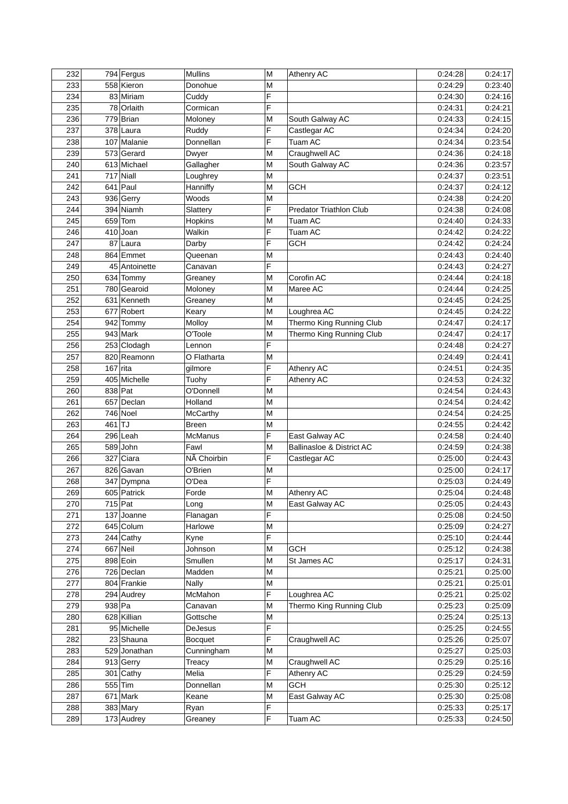| 232 |            | $794$ Fergus  | <b>Mullins</b> | M | <b>Athenry AC</b>              | 0:24:28 | 0:24:17 |
|-----|------------|---------------|----------------|---|--------------------------------|---------|---------|
| 233 |            | 558 Kieron    | Donohue        | M |                                | 0:24:29 | 0:23:40 |
| 234 |            | 83 Miriam     | Cuddy          | F |                                | 0:24:30 | 0:24:16 |
| 235 |            | 78 Orlaith    | Cormican       | F |                                | 0:24:31 | 0:24:21 |
| 236 |            | 779 Brian     | Moloney        | M | South Galway AC                | 0:24:33 | 0:24:15 |
| 237 |            | 378 Laura     | Ruddy          | F | Castlegar AC                   | 0:24:34 | 0:24:20 |
| 238 |            | 107 Malanie   | Donnellan      | F | Tuam AC                        | 0:24:34 | 0:23:54 |
| 239 |            | 573 Gerard    | Dwyer          | M | Craughwell AC                  | 0:24:36 | 0:24:18 |
| 240 |            | 613 Michael   | Gallagher      | M | South Galway AC                | 0:24:36 | 0:23:57 |
| 241 |            | $717$ Niall   | Loughrey       | M |                                | 0:24:37 | 0:23:51 |
| 242 |            | $641$ Paul    | Hanniffy       | M | <b>GCH</b>                     | 0:24:37 | 0:24:12 |
| 243 |            | 936 Gerry     | Woods          | M |                                | 0:24:38 | 0:24:20 |
| 244 |            | 394 Niamh     | Slattery       | F | <b>Predator Triathlon Club</b> | 0:24:38 | 0:24:08 |
|     |            |               |                |   | Tuam AC                        |         |         |
| 245 |            | $659$ Tom     | Hopkins        | M |                                | 0:24:40 | 0:24:33 |
| 246 |            | $410$ Joan    | Walkin         | F | Tuam AC                        | 0:24:42 | 0:24:22 |
| 247 | 87         | Laura         | Darby          | F | <b>GCH</b>                     | 0:24:42 | 0:24:24 |
| 248 |            | 864 Emmet     | Queenan        | M |                                | 0:24:43 | 0:24:40 |
| 249 |            | 45 Antoinette | Canavan        | F |                                | 0:24:43 | 0:24:27 |
| 250 |            | 634 Tommy     | Greaney        | M | Corofin AC                     | 0:24:44 | 0:24:18 |
| 251 |            | 780 Gearoid   | Moloney        | M | Maree AC                       | 0:24:44 | 0:24:25 |
| 252 |            | 631 Kenneth   | Greanev        | M |                                | 0:24:45 | 0:24:25 |
| 253 |            | 677 Robert    | Keary          | M | Loughrea AC                    | 0:24:45 | 0:24:22 |
| 254 |            | 942 Tommy     | Molloy         | M | Thermo King Running Club       | 0:24:47 | 0:24:17 |
| 255 |            | $943$ Mark    | O'Toole        | M | Thermo King Running Club       | 0:24:47 | 0:24:17 |
| 256 |            | 253 Clodagh   | Lennon         | F |                                | 0:24:48 | 0:24:27 |
| 257 |            | 820 Reamonn   | O Flatharta    | M |                                | 0:24:49 | 0:24:41 |
| 258 | $167$ rita |               | gilmore        | F | Athenry AC                     | 0:24:51 | 0:24:35 |
| 259 |            | 405 Michelle  | Tuohy          | F | Athenry AC                     | 0:24:53 | 0:24:32 |
| 260 | 838 Pat    |               | O'Donnell      | M |                                | 0:24:54 | 0:24:43 |
| 261 |            | 657 Declan    | Holland        | M |                                | 0:24:54 | 0:24:42 |
| 262 |            | 746 Noel      | McCarthy       | M |                                | 0:24:54 | 0:24:25 |
| 263 | $461$ TJ   |               | <b>Breen</b>   | M |                                | 0:24:55 | 0:24:42 |
| 264 |            | $296$ Leah    | <b>McManus</b> | F | East Galway AC                 | 0:24:58 | 0:24:40 |
| 265 |            | 589 John      | Fawl           | M | Ballinasloe & District AC      | 0:24:59 | 0:24:38 |
| 266 |            | 327 Ciara     | NÃ Choirbin    | F | Castlegar AC                   | 0:25:00 | 0:24:43 |
| 267 |            | 826 Gavan     | O'Brien        | M |                                | 0:25:00 | 0:24:17 |
| 268 |            | 347 Dympna    | O'Dea          | F |                                | 0:25:03 | 0:24:49 |
|     |            |               |                |   |                                |         |         |
| 269 |            | 605 Patrick   | Forde          | M | <b>Athenry AC</b>              | 0:25:04 | 0:24:48 |
| 270 |            | $715$ Pat     | Long           | M | East Galway AC                 | 0:25:05 | 0:24:43 |
| 271 |            | $137$ Joanne  | Flanagan       | F |                                | 0:25:08 | 0:24:50 |
| 272 |            | 645 Colum     | Harlowe        | M |                                | 0:25:09 | 0:24:27 |
| 273 |            | $244$ Cathy   | Kyne           | F |                                | 0:25:10 | 0:24:44 |
| 274 |            | 667 Neil      | Johnson        | M | <b>GCH</b>                     | 0:25:12 | 0:24:38 |
| 275 |            | 898 Eoin      | Smullen        | M | St James AC                    | 0:25:17 | 0:24:31 |
| 276 |            | 726 Declan    | Madden         | M |                                | 0:25:21 | 0:25:00 |
| 277 |            | 804 Frankie   | Nally          | M |                                | 0:25:21 | 0:25:01 |
| 278 |            | 294 Audrey    | McMahon        | F | Loughrea AC                    | 0:25:21 | 0:25:02 |
| 279 | $938$ Pa   |               | Canavan        | M | Thermo King Running Club       | 0:25:23 | 0:25:09 |
| 280 |            | 628 Killian   | Gottsche       | M |                                | 0:25:24 | 0:25:13 |
| 281 |            | 95 Michelle   | DeJesus        | F |                                | 0:25:25 | 0:24:55 |
| 282 |            | 23 Shauna     | <b>Bocquet</b> | F | Craughwell AC                  | 0:25:26 | 0:25:07 |
| 283 |            | 529 Jonathan  | Cunningham     | M |                                | 0:25:27 | 0:25:03 |
| 284 |            | 913 Gerry     | Treacy         | M | Craughwell AC                  | 0:25:29 | 0:25:16 |
| 285 |            | $301$ Cathy   | Melia          | F | Athenry AC                     | 0:25:29 | 0:24:59 |
| 286 |            | $555$ Tim     | Donnellan      | M | <b>GCH</b>                     | 0:25:30 | 0:25:12 |
| 287 |            | $671$ Mark    | Keane          | M | East Galway AC                 | 0:25:30 | 0:25:08 |
| 288 |            | $383$ Mary    | Ryan           | F |                                | 0:25:33 | 0:25:17 |
| 289 |            | 173 Audrey    | Greaney        | F | Tuam AC                        | 0:25:33 | 0:24:50 |
|     |            |               |                |   |                                |         |         |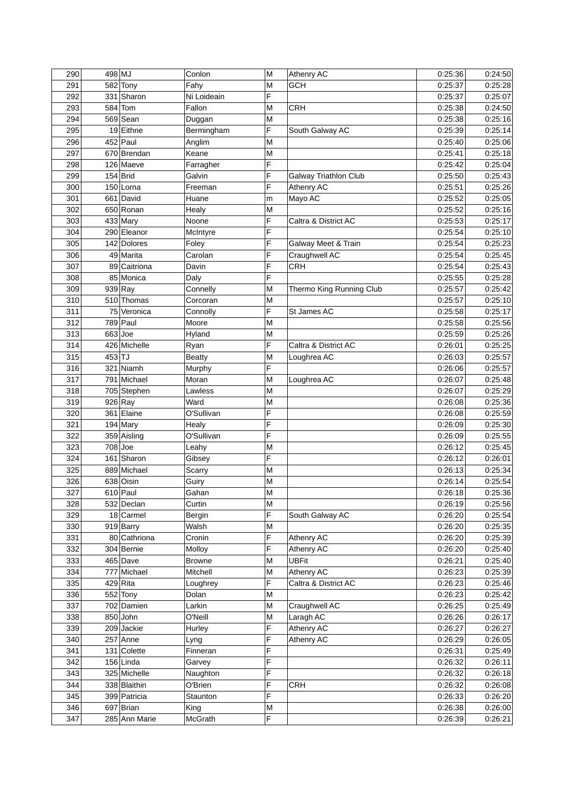| 290 | 498 MJ    |               | Conlon        | M      | <b>Athenry AC</b>        | 0:25:36 | 0:24:50 |
|-----|-----------|---------------|---------------|--------|--------------------------|---------|---------|
| 291 |           | 582 Tony      | Fahy          | M      | GCH                      | 0:25:37 | 0:25:28 |
| 292 |           | 331 Sharon    | Ni Loideain   | F      |                          | 0:25:37 | 0:25:07 |
| 293 |           | $584$ Tom     | Fallon        | M      | <b>CRH</b>               | 0:25:38 | 0:24:50 |
| 294 |           | 569 Sean      | Duggan        | M      |                          | 0:25:38 | 0:25:16 |
| 295 |           | 19 Eithne     | Bermingham    | F      | South Galway AC          | 0:25:39 | 0:25:14 |
| 296 |           | $452$ Paul    | Anglim        | M      |                          | 0:25:40 | 0:25:06 |
| 297 |           | 670 Brendan   | Keane         | M      |                          | 0:25:41 | 0:25:18 |
| 298 |           | 126 Maeve     | Farragher     | F      |                          | 0:25:42 | 0:25:04 |
| 299 |           | $154$ Brid    | Galvin        | F      | Galway Triathlon Club    | 0:25:50 | 0:25:43 |
| 300 |           | 150 Lorna     | Freeman       | F      | Athenry AC               | 0:25:51 | 0:25:26 |
| 301 |           | 661 David     | Huane         | m      | Mayo AC                  | 0:25:52 | 0:25:05 |
| 302 |           | 650 Ronan     | Healy         | M      |                          | 0:25:52 | 0:25:16 |
| 303 |           | $433$ Mary    | Noone         | F      | Caltra & District AC     | 0:25:53 | 0:25:17 |
| 304 |           | 290 Eleanor   | McIntyre      | F      |                          | 0:25:54 | 0:25:10 |
| 305 |           | 142 Dolores   | Foley         | F      | Galway Meet & Train      | 0:25:54 | 0:25:23 |
| 306 |           | 49 Marita     | Carolan       | F      | Craughwell AC            | 0:25:54 | 0:25:45 |
| 307 |           | 89 Caitriona  | Davin         | F      | <b>CRH</b>               | 0:25:54 | 0:25:43 |
| 308 |           | 85 Monica     | Daly          | F      |                          | 0:25:55 | 0:25:28 |
| 309 |           | $939$ Ray     | Connelly      | M      | Thermo King Running Club | 0:25:57 | 0:25:42 |
| 310 |           | 510 Thomas    | Corcoran      | M      |                          | 0:25:57 | 0:25:10 |
| 311 |           | 75 Veronica   | Connolly      | F      | St James AC              | 0:25:58 | 0:25:17 |
| 312 |           | $789$ Paul    | Moore         | M      |                          | 0:25:58 | 0:25:56 |
| 313 | $663$ Joe |               |               |        |                          |         |         |
|     |           |               | Hyland        | M<br>F |                          | 0:25:59 | 0:25:26 |
| 314 |           | 426 Michelle  | Ryan          |        | Caltra & District AC     | 0:26:01 | 0:25:25 |
| 315 | $453$ TJ  |               | <b>Beatty</b> | M      | Loughrea AC              | 0:26:03 | 0:25:57 |
| 316 |           | 321 Niamh     | Murphy        | F      |                          | 0:26:06 | 0:25:57 |
| 317 |           | 791 Michael   | Moran         | M      | Loughrea AC              | 0:26:07 | 0:25:48 |
| 318 |           | 705 Stephen   | Lawless       | M      |                          | 0:26:07 | 0:25:29 |
| 319 |           | $926$ Ray     | Ward          | M      |                          | 0:26:08 | 0:25:36 |
| 320 |           | 361 Elaine    | O'Sullivan    | F      |                          | 0:26:08 | 0:25:59 |
| 321 |           | $194$ Mary    | Healy         | F      |                          | 0:26:09 | 0:25:30 |
| 322 |           | 359 Aisling   | O'Sullivan    | F      |                          | 0:26:09 | 0:25:55 |
| 323 |           | $708$ Joe     | Leahy         | M      |                          | 0:26:12 | 0:25:45 |
| 324 |           | 161 Sharon    | Gibsey        | F      |                          | 0:26:12 | 0:26:01 |
| 325 |           | 889 Michael   | Scarry        | M      |                          | 0:26:13 | 0:25:34 |
| 326 |           | 638 Oisin     | Guiry         | M      |                          | 0:26:14 | 0:25:54 |
| 327 |           | $610$ Paul    | Gahan         | M      |                          | 0:26:18 | 0:25:36 |
| 328 |           | 532 Declan    | Curtin        | M      |                          | 0:26:19 | 0:25:56 |
| 329 |           | 18 Carmel     | Bergin        | F      | South Galway AC          | 0:26:20 | 0:25:54 |
| 330 |           | $919$ Barry   | Walsh         | M      |                          | 0:26:20 | 0:25:35 |
| 331 |           | 80 Cathriona  | Cronin        | F      | Athenry AC               | 0:26:20 | 0:25:39 |
| 332 |           | 304 Bernie    | Molloy        | F      | Athenry AC               | 0:26:20 | 0:25:40 |
| 333 |           | $465$ Dave    | <b>Browne</b> | M      | <b>UBFit</b>             | 0:26:21 | 0:25:40 |
| 334 |           | 777 Michael   | Mitchell      | M      | Athenry AC               | 0:26:23 | 0:25:39 |
| 335 |           | $429$ Rita    | Loughrey      | F      | Caltra & District AC     | 0:26:23 | 0:25:46 |
| 336 |           | $552$ Tony    | Dolan         | M      |                          | 0:26:23 | 0:25:42 |
| 337 |           | 702 Damien    | Larkin        | M      | Craughwell AC            | 0:26:25 | 0:25:49 |
| 338 |           | 850 John      | O'Neill       | M      | Laragh AC                | 0:26:26 | 0:26:17 |
| 339 |           | 209 Jackie    | Hurley        | F      | Athenry AC               | 0:26:27 | 0:26:27 |
| 340 |           | $257$ Anne    | Lyng          | F      | Athenry AC               | 0:26:29 | 0:26:05 |
| 341 |           | 131 Colette   | Finneran      | F      |                          | 0:26:31 | 0:25:49 |
| 342 |           | $156$ Linda   | Garvey        | F      |                          | 0:26:32 | 0:26:11 |
| 343 |           | 325 Michelle  | Naughton      | F      |                          | 0:26:32 | 0:26:18 |
| 344 |           | 338 Blaithin  | O'Brien       | F      | CRH                      | 0:26:32 | 0:26:08 |
| 345 |           | 399 Patricia  | Staunton      | F      |                          | 0:26:33 | 0:26:20 |
| 346 |           | 697 Brian     | King          | М      |                          | 0:26:38 | 0:26:00 |
| 347 |           | 285 Ann Marie | McGrath       | F      |                          | 0:26:39 | 0:26:21 |
|     |           |               |               |        |                          |         |         |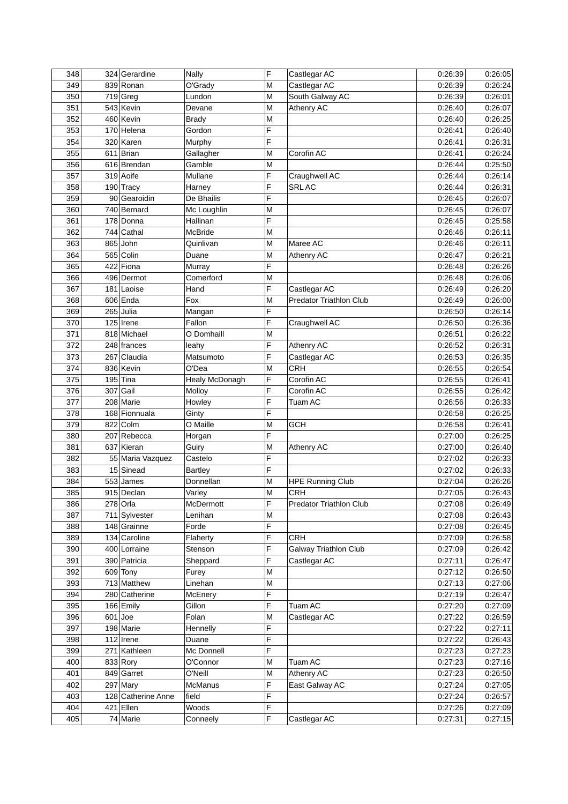| 348 |           | 324 Gerardine      | Nally          | F | Castlegar AC            | 0:26:39 | 0:26:05 |
|-----|-----------|--------------------|----------------|---|-------------------------|---------|---------|
| 349 |           | 839 Ronan          | O'Grady        | M | Castlegar AC            | 0:26:39 | 0:26:24 |
| 350 |           | $719$ Greg         | Lundon         | M | South Galway AC         | 0:26:39 | 0:26:01 |
| 351 |           | 543 Kevin          | Devane         | M | <b>Athenry AC</b>       | 0:26:40 | 0:26:07 |
| 352 |           | 460 Kevin          | Brady          | M |                         | 0:26:40 | 0:26:25 |
| 353 |           | 170 Helena         | Gordon         | F |                         | 0:26:41 | 0:26:40 |
| 354 |           | 320 Karen          | Murphy         | F |                         | 0:26:41 | 0:26:31 |
| 355 |           | $611$ Brian        | Gallagher      | M | Corofin AC              | 0:26:41 | 0:26:24 |
| 356 |           | 616 Brendan        | Gamble         | M |                         | 0:26:44 | 0:25:50 |
| 357 |           | 319 Aoife          | Mullane        | F | Craughwell AC           | 0:26:44 | 0:26:14 |
| 358 |           | 190 Tracy          | Harney         | F | <b>SRLAC</b>            | 0:26:44 | 0:26:31 |
| 359 |           | 90 Gearoidin       | De Bhailis     | F |                         | 0:26:45 | 0:26:07 |
| 360 |           | 740 Bernard        |                |   |                         | 0:26:45 | 0:26:07 |
|     |           |                    | Mc Loughlin    | M |                         |         |         |
| 361 |           | 178 Donna          | Hallinan       | F |                         | 0:26:45 | 0:25:58 |
| 362 |           | 744 Cathal         | McBride        | M |                         | 0:26:46 | 0:26:11 |
| 363 |           | 865 John           | Quinlivan      | M | Maree AC                | 0:26:46 | 0:26:11 |
| 364 |           | $565$ Colin        | Duane          | M | <b>Athenry AC</b>       | 0:26:47 | 0:26:21 |
| 365 |           | 422 Fiona          | Murray         | F |                         | 0:26:48 | 0:26:26 |
| 366 |           | 496 Dermot         | Comerford      | M |                         | 0:26:48 | 0:26:06 |
| 367 |           | 181 Laoise         | Hand           | F | Castlegar AC            | 0:26:49 | 0:26:20 |
| 368 |           | $606$ Enda         | Fox            | M | Predator Triathlon Club | 0:26:49 | 0:26:00 |
| 369 |           | $265$ Julia        | Mangan         | F |                         | 0:26:50 | 0:26:14 |
| 370 |           | $125$ Irene        | Fallon         | F | Craughwell AC           | 0:26:50 | 0:26:36 |
| 371 |           | 818 Michael        | O Domhaill     | M |                         | 0:26:51 | 0:26:22 |
| 372 |           | 248 frances        | leahy          | F | Athenry AC              | 0:26:52 | 0:26:31 |
| 373 |           | 267 Claudia        | Matsumoto      | F | Castlegar AC            | 0:26:53 | 0:26:35 |
| 374 |           | 836 Kevin          | O'Dea          | M | <b>CRH</b>              | 0:26:55 | 0:26:54 |
| 375 |           | $195$ Tina         | Healy McDonagh | F | Corofin AC              | 0:26:55 | 0:26:41 |
| 376 |           | 307 Gail           | Molloy         | F | Corofin AC              | 0:26:55 | 0:26:42 |
| 377 |           | 208 Marie          | Howley         | F | Tuam AC                 | 0:26:56 | 0:26:33 |
| 378 |           | 168 Fionnuala      | Ginty          | F |                         | 0:26:58 | 0:26:25 |
| 379 |           | 822 Colm           | O Maille       | M | GCH                     | 0:26:58 | 0:26:41 |
| 380 |           | 207 Rebecca        | Horgan         | F |                         | 0:27:00 | 0:26:25 |
| 381 |           | 637 Kieran         | Guiry          | M | <b>Athenry AC</b>       | 0:27:00 | 0:26:40 |
| 382 |           | 55 Maria Vazquez   | Castelo        | F |                         | 0:27:02 | 0:26:33 |
| 383 |           | 15 Sinead          | <b>Bartley</b> | F |                         | 0:27:02 | 0:26:33 |
| 384 |           | 553 James          | Donnellan      | M | <b>HPE Running Club</b> | 0:27:04 | 0:26:26 |
| 385 |           | 915 Declan         | Varley         | M | CRH                     | 0:27:05 | 0:26:43 |
| 386 |           | $278$ Orla         | McDermott      | F | Predator Triathlon Club | 0:27:08 | 0:26:49 |
| 387 |           | 711 Sylvester      | Lenihan        | M |                         | 0:27:08 | 0:26:43 |
| 388 |           | 148 Grainne        | Forde          | F |                         | 0:27:08 | 0:26:45 |
| 389 |           | 134 Caroline       | Flaherty       | F | CRH                     | 0:27:09 | 0:26:58 |
| 390 |           | 400 Lorraine       | Stenson        | F | Galway Triathlon Club   | 0:27:09 | 0:26:42 |
| 391 |           | 390 Patricia       | Sheppard       | F | Castlegar AC            | 0:27:11 | 0:26:47 |
| 392 |           | $609$ Tony         | Furey          | M |                         | 0:27:12 | 0:26:50 |
| 393 |           | 713 Matthew        | Linehan        | M |                         | 0:27:13 | 0:27:06 |
| 394 |           | 280 Catherine      | McEnery        | F |                         | 0:27:19 | 0:26:47 |
| 395 |           | 166 Emily          | Gillon         | F | Tuam AC                 | 0:27:20 | 0:27:09 |
| 396 | $601$ Joe |                    | Folan          | M | Castlegar AC            | 0:27:22 | 0:26:59 |
| 397 |           | 198 Marie          | Hennelly       | F |                         | 0:27:22 | 0:27:11 |
| 398 |           | $112$ Irene        | Duane          | F |                         | 0:27:22 | 0:26:43 |
| 399 |           | 271 Kathleen       | Mc Donnell     | F |                         | 0:27:23 | 0:27:23 |
| 400 |           | 833 Rory           | O'Connor       | M | Tuam AC                 | 0:27:23 | 0:27:16 |
| 401 |           | 849 Garret         | O'Neill        | M | Athenry AC              | 0:27:23 | 0:26:50 |
| 402 |           | $297$ Mary         | McManus        | F | East Galway AC          | 0:27:24 | 0:27:05 |
| 403 |           | 128 Catherine Anne | field          | F |                         | 0:27:24 | 0:26:57 |
| 404 |           | $421$ Ellen        | Woods          | F |                         | 0:27:26 | 0:27:09 |
| 405 |           | 74 Marie           | Conneely       | F | Castlegar AC            | 0:27:31 | 0:27:15 |
|     |           |                    |                |   |                         |         |         |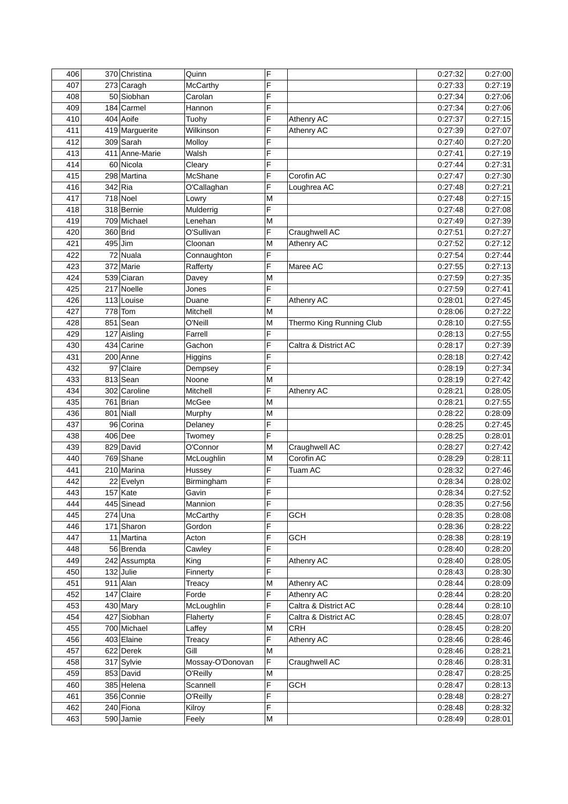| 406 |           | 370 Christina  | Quinn            | F |                          | 0:27:32 | 0:27:00 |
|-----|-----------|----------------|------------------|---|--------------------------|---------|---------|
| 407 |           | 273 Caragh     | McCarthy         | F |                          | 0:27:33 | 0:27:19 |
| 408 |           | 50 Siobhan     | Carolan          | F |                          | 0:27:34 | 0:27:06 |
| 409 |           | 184 Carmel     | Hannon           | F |                          | 0:27:34 | 0:27:06 |
| 410 |           | 404 Aoife      | Tuohy            | F | Athenry AC               | 0:27:37 | 0:27:15 |
| 411 |           | 419 Marguerite | Wilkinson        | F | <b>Athenry AC</b>        | 0:27:39 | 0:27:07 |
| 412 |           | 309 Sarah      | Molloy           | F |                          | 0:27:40 | 0:27:20 |
| 413 |           | 411 Anne-Marie | Walsh            | F |                          | 0:27:41 | 0:27:19 |
| 414 |           | 60 Nicola      | Cleary           | F |                          | 0:27:44 | 0:27:31 |
| 415 |           | 298 Martina    | McShane          | F | Corofin AC               | 0:27:47 | 0:27:30 |
| 416 | $342$ Ria |                | O'Callaghan      | F | Loughrea AC              | 0:27:48 | 0:27:21 |
| 417 |           | $718$ Noel     | Lowry            | M |                          | 0:27:48 | 0:27:15 |
| 418 |           | 318 Bernie     | Mulderrig        | F |                          | 0:27:48 | 0:27:08 |
| 419 |           | 709 Michael    | Lenehan          | M |                          | 0:27:49 | 0:27:39 |
| 420 |           | 360 Brid       | O'Sullivan       | F | Craughwell AC            | 0:27:51 | 0:27:27 |
| 421 | $495$ Jim |                | Cloonan          | M | <b>Athenry AC</b>        | 0:27:52 | 0:27:12 |
| 422 |           | 72 Nuala       | Connaughton      | F |                          | 0:27:54 | 0:27:44 |
|     |           |                |                  |   |                          |         | 0:27:13 |
| 423 |           | 372 Marie      | Rafferty         | F | Maree AC                 | 0:27:55 |         |
| 424 |           | 539 Ciaran     | Davey            | M |                          | 0:27:59 | 0:27:35 |
| 425 |           | 217 Noelle     | Jones            | F |                          | 0:27:59 | 0:27:41 |
| 426 |           | 113 Louise     | Duane            | F | <b>Athenry AC</b>        | 0:28:01 | 0:27:45 |
| 427 |           | $778$ Tom      | Mitchell         | M |                          | 0:28:06 | 0:27:22 |
| 428 |           | $851$ Sean     | O'Neill          | M | Thermo King Running Club | 0:28:10 | 0:27:55 |
| 429 |           | 127 Aisling    | Farrell          | F |                          | 0:28:13 | 0:27:55 |
| 430 |           | 434 Carine     | Gachon           | F | Caltra & District AC     | 0:28:17 | 0:27:39 |
| 431 |           | 200 Anne       | Higgins          | F |                          | 0:28:18 | 0:27:42 |
| 432 | 97        | Claire         | Dempsey          | F |                          | 0:28:19 | 0:27:34 |
| 433 |           | 813 Sean       | Noone            | M |                          | 0:28:19 | 0:27:42 |
| 434 |           | 302 Caroline   | Mitchell         | F | Athenry AC               | 0:28:21 | 0:28:05 |
| 435 |           | $761$ Brian    | McGee            | M |                          | 0:28:21 | 0:27:55 |
| 436 |           | $801$ Niall    | Murphy           | M |                          | 0:28:22 | 0:28:09 |
| 437 |           | 96 Corina      | Delaney          | F |                          | 0:28:25 | 0:27:45 |
| 438 |           | 406 Dee        | Twomey           | F |                          | 0:28:25 | 0:28:01 |
| 439 |           | 829 David      | O'Connor         | M | Craughwell AC            | 0:28:27 | 0:27:42 |
| 440 |           | 769 Shane      | McLoughlin       | M | Corofin AC               | 0:28:29 | 0:28:11 |
| 441 |           | 210 Marina     | Hussey           | F | Tuam AC                  | 0:28:32 | 0:27:46 |
| 442 |           | 22 Evelyn      | Birmingham       | F |                          | 0:28:34 | 0:28:02 |
| 443 |           | $157$ Kate     | Gavin            | F |                          | 0:28:34 | 0:27:52 |
| 444 |           | 445 Sinead     | Mannion          | F |                          | 0:28:35 | 0:27:56 |
| 445 |           | $274$ Una      | <b>McCarthy</b>  | F | GCH                      | 0:28:35 | 0:28:08 |
| 446 |           | 171 Sharon     | Gordon           | F |                          | 0:28:36 | 0:28:22 |
| 447 |           | 11 Martina     | Acton            | F | GCH                      | 0:28:38 | 0:28:19 |
| 448 |           | 56 Brenda      | Cawley           | F |                          | 0:28:40 | 0:28:20 |
| 449 |           | 242 Assumpta   | King             | F | Athenry AC               | 0:28:40 | 0:28:05 |
| 450 |           | $132$ Julie    | Finnerty         | F |                          | 0:28:43 | 0:28:30 |
| 451 |           | $911$ Alan     | Treacy           | M | <b>Athenry AC</b>        | 0:28:44 | 0:28:09 |
| 452 |           | 147 Claire     | Forde            | F | Athenry AC               | 0:28:44 | 0:28:20 |
| 453 |           | $430$ Mary     | McLoughlin       | F | Caltra & District AC     | 0:28:44 | 0:28:10 |
| 454 |           | 427 Siobhan    | Flaherty         | F | Caltra & District AC     | 0:28:45 | 0:28:07 |
|     |           |                |                  |   | <b>CRH</b>               |         |         |
| 455 |           | 700 Michael    | Laffey           | M |                          | 0:28:45 | 0:28:20 |
| 456 |           | 403 Elaine     | Treacy           | F | Athenry AC               | 0:28:46 | 0:28:46 |
| 457 |           | 622 Derek      | Gill             | M |                          | 0:28:46 | 0:28:21 |
| 458 |           | 317 Sylvie     | Mossay-O'Donovan | F | Craughwell AC            | 0:28:46 | 0:28:31 |
| 459 |           | 853 David      | O'Reilly         | M |                          | 0:28:47 | 0:28:25 |
| 460 |           | 385 Helena     | Scannell         | F | GCH                      | 0:28:47 | 0:28:13 |
| 461 |           | 356 Connie     | O'Reilly         | F |                          | 0:28:48 | 0:28:27 |
| 462 |           | $240$ Fiona    | Kilroy           | F |                          | 0:28:48 | 0:28:32 |
| 463 |           | 590 Jamie      | Feely            | М |                          | 0:28:49 | 0:28:01 |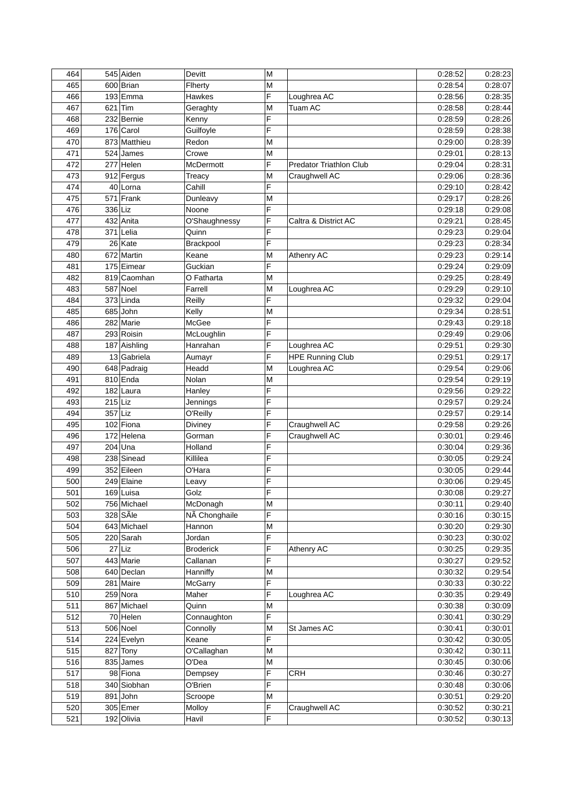| 464 |           | 545 Aiden                | Devitt                    | M      |                         | 0:28:52 | 0:28:23 |
|-----|-----------|--------------------------|---------------------------|--------|-------------------------|---------|---------|
| 465 |           | 600 Brian                | Flherty                   | M      |                         | 0:28:54 | 0:28:07 |
| 466 |           | $193$ Emma               | <b>Hawkes</b>             | F      | Loughrea AC             | 0:28:56 | 0:28:35 |
| 467 | $621$ Tim |                          | Geraghty                  | M      | Tuam AC                 | 0:28:58 | 0:28:44 |
| 468 |           | 232 Bernie               | Kenny                     | F      |                         | 0:28:59 | 0:28:26 |
| 469 |           | 176 Carol                | Guilfoyle                 | F      |                         | 0:28:59 | 0:28:38 |
| 470 |           | 873 Matthieu             | Redon                     | M      |                         | 0:29:00 | 0:28:39 |
| 471 |           | 524 James                | Crowe                     | M      |                         | 0:29:01 | 0:28:13 |
| 472 |           | $277$ Helen              | McDermott                 | F      | Predator Triathlon Club | 0:29:04 | 0:28:31 |
| 473 |           | 912 Fergus               | Treacy                    | M      | Craughwell AC           | 0:29:06 | 0:28:36 |
| 474 |           | 40 Lorna                 | Cahill                    | F      |                         | 0:29:10 | 0:28:42 |
| 475 |           | $571$ Frank              | Dunleavy                  | M      |                         | 0:29:17 | 0:28:26 |
| 476 | 336 Liz   |                          | Noone                     | F      |                         | 0:29:18 | 0:29:08 |
| 477 |           | 432 Anita                | O'Shaughnessy             | F      | Caltra & District AC    | 0:29:21 | 0:28:45 |
| 478 |           | $371$ Lelia              | Quinn                     | F      |                         | 0:29:23 | 0:29:04 |
| 479 |           | 26 Kate                  | Brackpool                 | F      |                         | 0:29:23 | 0:28:34 |
| 480 |           | 672 Martin               | Keane                     | M      | <b>Athenry AC</b>       | 0:29:23 | 0:29:14 |
| 481 |           | 175 Eimear               | Guckian                   | F      |                         | 0:29:24 | 0:29:09 |
| 482 |           | 819 Caomhan              | O Fatharta                | M      |                         | 0:29:25 | 0:28:49 |
| 483 |           | 587 Noel                 | Farrell                   | M      | Loughrea AC             | 0:29:29 | 0:29:10 |
| 484 |           | 373 Linda                | Reilly                    | F      |                         | 0:29:32 | 0:29:04 |
| 485 |           | 685 John                 | Kelly                     | M      |                         | 0:29:34 | 0:28:51 |
| 486 |           | 282 Marie                | McGee                     | F      |                         | 0:29:43 | 0:29:18 |
| 487 |           | 293 Roisin               | McLoughlin                | F      |                         | 0:29:49 | 0:29:06 |
| 488 |           | 187 Aishling             | Hanrahan                  | F      | Loughrea AC             | 0:29:51 | 0:29:30 |
| 489 |           | 13 Gabriela              | Aumayr                    | F      | <b>HPE Running Club</b> | 0:29:51 | 0:29:17 |
| 490 |           | 648 Padraig              | Headd                     | M      | Loughrea AC             | 0:29:54 | 0:29:06 |
| 491 |           | $810$ Enda               | Nolan                     | M      |                         | 0:29:54 | 0:29:19 |
| 492 |           | 182 Laura                | Hanley                    | F      |                         | 0:29:56 | 0:29:22 |
| 493 | $215$ Liz |                          | Jennings                  | F      |                         | 0:29:57 | 0:29:24 |
| 494 | 357 Liz   |                          | O'Reilly                  | F      |                         | 0:29:57 | 0:29:14 |
| 495 |           | 102 Fiona                | Diviney                   | F      | Craughwell AC           | 0:29:58 | 0:29:26 |
| 496 |           | 172 Helena               | Gorman                    | F      | Craughwell AC           | 0:30:01 | 0:29:46 |
| 497 |           | $204$ Una                | Holland                   | F      |                         | 0:30:04 | 0:29:36 |
| 498 |           | 238 Sinead               | Killilea                  | F      |                         | 0:30:05 | 0:29:24 |
| 499 |           | 352 Eileen               | O'Hara                    | F      |                         | 0:30:05 | 0:29:44 |
| 500 |           | 249 Elaine               |                           | F      |                         | 0:30:06 | 0:29:45 |
| 501 |           | 169 Luisa                | Leavy<br>Golz             | F      |                         | 0:30:08 | 0:29:27 |
| 502 |           |                          |                           | M      |                         |         | 0:29:40 |
| 503 |           | 756 Michael<br>328 SÃle  | McDonagh<br>NÃ Chonghaile | F      |                         | 0:30:11 |         |
|     |           |                          |                           |        |                         | 0:30:16 | 0:30:15 |
| 504 |           | 643 Michael<br>220 Sarah | Hannon                    | M      |                         | 0:30:20 | 0:29:30 |
| 505 |           |                          | Jordan                    | F<br>F |                         | 0:30:23 | 0:30:02 |
| 506 |           | $27$ Liz                 | <b>Broderick</b>          |        | Athenry AC              | 0:30:25 | 0:29:35 |
| 507 |           | 443 Marie                | Callanan                  | F      |                         | 0:30:27 | 0:29:52 |
| 508 |           | 640 Declan               | Hanniffy                  | M      |                         | 0:30:32 | 0:29:54 |
| 509 |           | 281 Maire                | McGarry                   | F      |                         | 0:30:33 | 0:30:22 |
| 510 |           | $259$ Nora               | Maher                     | F      | Loughrea AC             | 0:30:35 | 0:29:49 |
| 511 |           | 867 Michael              | Quinn                     | M      |                         | 0:30:38 | 0:30:09 |
| 512 |           | 70 Helen                 | Connaughton               | F      |                         | 0:30:41 | 0:30:29 |
| 513 |           | 506 Noel                 | Connolly                  | M      | St James AC             | 0:30:41 | 0:30:01 |
| 514 |           | 224 Evelyn               | Keane                     | F      |                         | 0:30:42 | 0:30:05 |
| 515 |           | 827 Tony                 | O'Callaghan               | M      |                         | 0:30:42 | 0:30:11 |
| 516 |           | 835 James                | O'Dea                     | M      |                         | 0:30:45 | 0:30:06 |
| 517 |           | 98 Fiona                 | Dempsey                   | F      | <b>CRH</b>              | 0:30:46 | 0:30:27 |
| 518 |           | 340 Siobhan              | O'Brien                   | F      |                         | 0:30:48 | 0:30:06 |
| 519 |           | $891$ John               | Scroope                   | M      |                         | 0:30:51 | 0:29:20 |
| 520 |           | 305 Emer                 | Molloy                    | F      | Craughwell AC           | 0:30:52 | 0:30:21 |
| 521 |           | 192 Olivia               | Havil                     | F      |                         | 0:30:52 | 0:30:13 |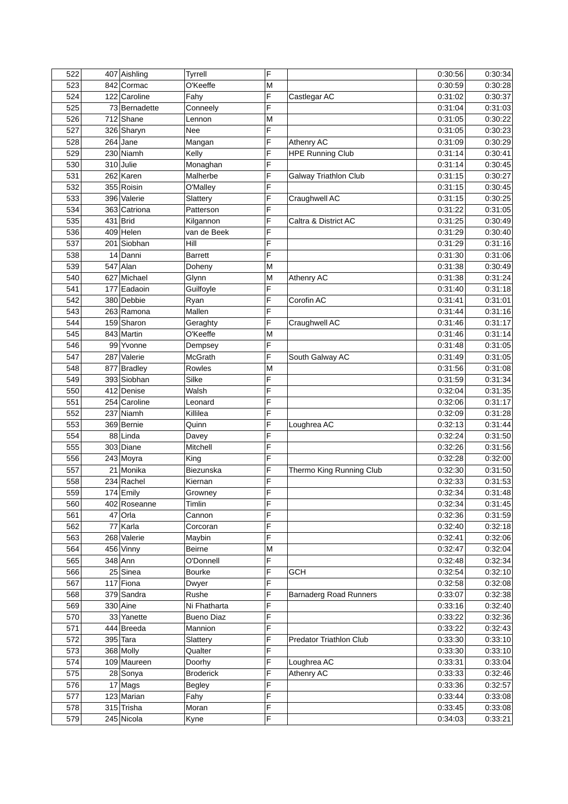| 522 | 407 Aishling  | Tyrrell           | F |                               | 0:30:56 | 0:30:34 |
|-----|---------------|-------------------|---|-------------------------------|---------|---------|
| 523 | 842 Cormac    | O'Keeffe          | M |                               | 0:30:59 | 0:30:28 |
| 524 | 122 Caroline  | Fahy              | F | Castlegar AC                  | 0:31:02 | 0:30:37 |
| 525 | 73 Bernadette | Conneely          | F |                               | 0:31:04 | 0:31:03 |
| 526 | 712 Shane     | Lennon            | M |                               | 0:31:05 | 0:30:22 |
| 527 | 326 Sharyn    | Nee               | F |                               | 0:31:05 | 0:30:23 |
| 528 | $264$ Jane    | Mangan            | F | <b>Athenry AC</b>             | 0:31:09 | 0:30:29 |
| 529 | 230 Niamh     | Kelly             | F | <b>HPE Running Club</b>       | 0:31:14 | 0:30:41 |
| 530 | 310 Julie     | Monaghan          | F |                               | 0:31:14 | 0:30:45 |
| 531 | 262 Karen     | Malherbe          | F | Galway Triathlon Club         | 0:31:15 | 0:30:27 |
| 532 | 355 Roisin    |                   | F |                               |         | 0:30:45 |
| 533 | 396 Valerie   | O'Malley          | F |                               | 0:31:15 | 0:30:25 |
|     |               | Slattery          |   | Craughwell AC                 | 0:31:15 |         |
| 534 | 363 Catriona  | Patterson         | F |                               | 0:31:22 | 0:31:05 |
| 535 | 431 Brid      | Kilgannon         | F | Caltra & District AC          | 0:31:25 | 0:30:49 |
| 536 | $409$ Helen   | van de Beek       | F |                               | 0:31:29 | 0:30:40 |
| 537 | 201 Siobhan   | Hill              | F |                               | 0:31:29 | 0:31:16 |
| 538 | 14 Danni      | <b>Barrett</b>    | F |                               | 0:31:30 | 0:31:06 |
| 539 | $547$ Alan    | Doheny            | M |                               | 0:31:38 | 0:30:49 |
| 540 | 627 Michael   | Glynn             | M | Athenry AC                    | 0:31:38 | 0:31:24 |
| 541 | 177 Eadaoin   | Guilfoyle         | F |                               | 0:31:40 | 0:31:18 |
| 542 | 380 Debbie    | Ryan              | F | Corofin AC                    | 0:31:41 | 0:31:01 |
| 543 | 263 Ramona    | Mallen            | F |                               | 0:31:44 | 0:31:16 |
| 544 | 159 Sharon    | Geraghty          | F | Craughwell AC                 | 0:31:46 | 0:31:17 |
| 545 | 843 Martin    | O'Keeffe          | M |                               | 0:31:46 | 0:31:14 |
| 546 | 99 Yvonne     | Dempsey           | F |                               | 0:31:48 | 0:31:05 |
| 547 | 287 Valerie   | McGrath           | F | South Galway AC               | 0:31:49 | 0:31:05 |
| 548 | 877 Bradley   | Rowles            | M |                               | 0:31:56 | 0:31:08 |
| 549 | 393 Siobhan   | Silke             | F |                               | 0:31:59 | 0:31:34 |
| 550 | 412 Denise    | Walsh             | F |                               | 0:32:04 | 0:31:35 |
| 551 | 254 Caroline  | Leonard           | F |                               | 0:32:06 | 0:31:17 |
| 552 | 237 Niamh     | Killilea          | F |                               | 0:32:09 | 0:31:28 |
| 553 | 369 Bernie    | Quinn             | F | Loughrea AC                   | 0:32:13 | 0:31:44 |
| 554 | 88 Linda      |                   | F |                               |         |         |
|     |               | Davey             |   |                               | 0:32:24 | 0:31:50 |
| 555 | 303 Diane     | Mitchell          | F |                               | 0:32:26 | 0:31:56 |
| 556 | 243 Moyra     | King              | F |                               | 0:32:28 | 0:32:00 |
| 557 | 21 Monika     | Biezunska         | F | Thermo King Running Club      | 0:32:30 | 0:31:50 |
| 558 | 234 Rachel    | Kiernan           | F |                               | 0:32:33 | 0:31:53 |
| 559 | 174 Emily     | Growney           | F |                               | 0:32:34 | 0:31:48 |
| 560 | 402 Roseanne  | Timlin            | F |                               | 0:32:34 | 0:31:45 |
| 561 | $47$ Orla     | Cannon            | F |                               | 0:32:36 | 0:31:59 |
| 562 | 77 Karla      | Corcoran          | F |                               | 0:32:40 | 0:32:18 |
| 563 | 268 Valerie   | Maybin            | F |                               | 0:32:41 | 0:32:06 |
| 564 | 456 Vinny     | <b>Beirne</b>     | M |                               | 0:32:47 | 0:32:04 |
| 565 | $348$ Ann     | O'Donnell         | F |                               | 0:32:48 | 0:32:34 |
| 566 | 25 Sinea      | <b>Bourke</b>     | F | GCH                           | 0:32:54 | 0:32:10 |
| 567 | $117$ Fiona   | Dwyer             | F |                               | 0:32:58 | 0:32:08 |
| 568 | 379 Sandra    | Rushe             | F | <b>Barnaderg Road Runners</b> | 0:33:07 | 0:32:38 |
| 569 | 330 Aine      | Ni Fhatharta      | F |                               | 0:33:16 | 0:32:40 |
| 570 | 33 Yanette    | <b>Bueno Diaz</b> | F |                               | 0:33:22 | 0:32:36 |
| 571 | 444 Breeda    | Mannion           | F |                               | 0:33:22 | 0:32:43 |
| 572 | 395 Tara      | Slattery          | F | Predator Triathlon Club       | 0:33:30 | 0:33:10 |
| 573 | 368 Molly     | Qualter           | F |                               | 0:33:30 | 0:33:10 |
| 574 | 109 Maureen   | Doorhy            | F | Loughrea AC                   | 0:33:31 | 0:33:04 |
| 575 | 28 Sonya      | <b>Broderick</b>  | F | Athenry AC                    | 0:33:33 | 0:32:46 |
| 576 | 17 Mags       | <b>Begley</b>     | F |                               | 0:33:36 | 0:32:57 |
| 577 | 123 Marian    | Fahy              | F |                               | 0:33:44 | 0:33:08 |
| 578 | 315 Trisha    | Moran             | F |                               | 0:33:45 | 0:33:08 |
|     |               |                   | F |                               |         |         |
| 579 | 245 Nicola    | Kyne              |   |                               | 0:34:03 | 0:33:21 |